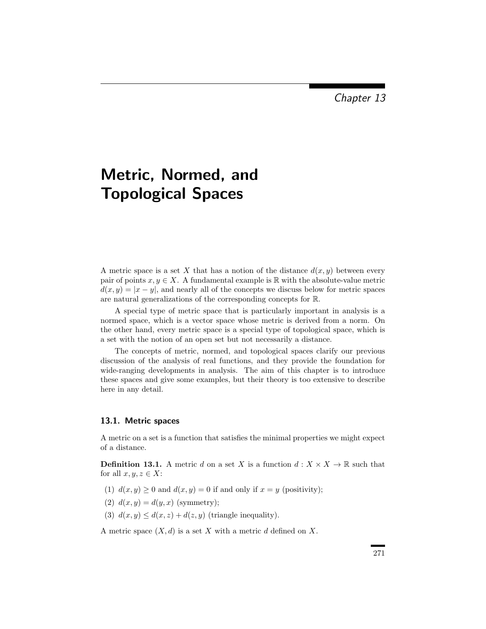Chapter 13

# Metric, Normed, and Topological Spaces

A metric space is a set X that has a notion of the distance  $d(x, y)$  between every pair of points  $x, y \in X$ . A fundamental example is R with the absolute-value metric  $d(x, y) = |x - y|$ , and nearly all of the concepts we discuss below for metric spaces are natural generalizations of the corresponding concepts for R.

A special type of metric space that is particularly important in analysis is a normed space, which is a vector space whose metric is derived from a norm. On the other hand, every metric space is a special type of topological space, which is a set with the notion of an open set but not necessarily a distance.

The concepts of metric, normed, and topological spaces clarify our previous discussion of the analysis of real functions, and they provide the foundation for wide-ranging developments in analysis. The aim of this chapter is to introduce these spaces and give some examples, but their theory is too extensive to describe here in any detail.

# 13.1. Metric spaces

A metric on a set is a function that satisfies the minimal properties we might expect of a distance.

**Definition 13.1.** A metric d on a set X is a function  $d: X \times X \to \mathbb{R}$  such that for all  $x, y, z \in X$ :

- (1)  $d(x, y) \ge 0$  and  $d(x, y) = 0$  if and only if  $x = y$  (positivity);
- (2)  $d(x, y) = d(y, x)$  (symmetry);
- (3)  $d(x, y) \leq d(x, z) + d(z, y)$  (triangle inequality).

A metric space  $(X, d)$  is a set X with a metric d defined on X.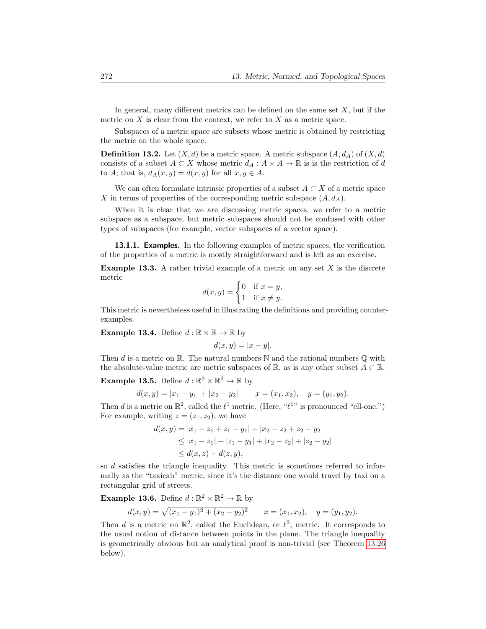In general, many different metrics can be defined on the same set  $X$ , but if the metric on  $X$  is clear from the context, we refer to  $X$  as a metric space.

Subspaces of a metric space are subsets whose metric is obtained by restricting the metric on the whole space.

**Definition 13.2.** Let  $(X, d)$  be a metric space. A metric subspace  $(A, d<sub>A</sub>)$  of  $(X, d)$ consists of a subset  $A \subset X$  whose metric  $d_A : A \times A \to \mathbb{R}$  is is the restriction of d to A; that is,  $d_A(x, y) = d(x, y)$  for all  $x, y \in A$ .

We can often formulate intrinsic properties of a subset  $A \subset X$  of a metric space X in terms of properties of the corresponding metric subspace  $(A, d_A)$ .

When it is clear that we are discussing metric spaces, we refer to a metric subspace as a subspace, but metric subspaces should not be confused with other types of subspaces (for example, vector subspaces of a vector space).

13.1.1. Examples. In the following examples of metric spaces, the verification of the properties of a metric is mostly straightforward and is left as an exercise.

<span id="page-2-3"></span>**Example 13.3.** A rather trivial example of a metric on any set  $X$  is the discrete metric

$$
d(x,y) = \begin{cases} 0 & \text{if } x = y, \\ 1 & \text{if } x \neq y. \end{cases}
$$

This metric is nevertheless useful in illustrating the definitions and providing counterexamples.

<span id="page-2-0"></span>**Example 13.4.** Define  $d : \mathbb{R} \times \mathbb{R} \to \mathbb{R}$  by

$$
d(x, y) = |x - y|.
$$

Then d is a metric on R. The natural numbers  $\mathbb N$  and the rational numbers  $\mathbb Q$  with the absolute-value metric are metric subspaces of  $\mathbb{R}$ , as is any other subset  $A \subset \mathbb{R}$ .

<span id="page-2-2"></span>**Example 13.5.** Define  $d : \mathbb{R}^2 \times \mathbb{R}^2 \to \mathbb{R}$  by

$$
d(x,y) = |x_1 - y_1| + |x_2 - y_2| \qquad x = (x_1, x_2), \quad y = (y_1, y_2).
$$

Then d is a metric on  $\mathbb{R}^2$ , called the  $\ell^1$  metric. (Here, " $\ell^{1}$ " is pronounced "ell-one.") For example, writing  $z = (z_1, z_2)$ , we have

$$
d(x,y) = |x_1 - z_1 + z_1 - y_1| + |x_2 - z_2 + z_2 - y_2|
$$
  
\n
$$
\leq |x_1 - z_1| + |z_1 - y_1| + |x_2 - z_2| + |z_2 - y_2|
$$
  
\n
$$
\leq d(x,z) + d(z,y),
$$

so d satisfies the triangle inequality. This metric is sometimes referred to informally as the "taxicab" metric, since it's the distance one would travel by taxi on a rectangular grid of streets.

<span id="page-2-1"></span>**Example 13.6.** Define  $d : \mathbb{R}^2 \times \mathbb{R}^2 \to \mathbb{R}$  by

$$
d(x,y) = \sqrt{(x_1 - y_1)^2 + (x_2 - y_2)^2}
$$
  $x = (x_1, x_2),$   $y = (y_1, y_2).$ 

Then d is a metric on  $\mathbb{R}^2$ , called the Euclidean, or  $\ell^2$ , metric. It corresponds to the usual notion of distance between points in the plane. The triangle inequality is geometrically obvious but an analytical proof is non-trivial (see Theorem [13.26](#page-7-0) below).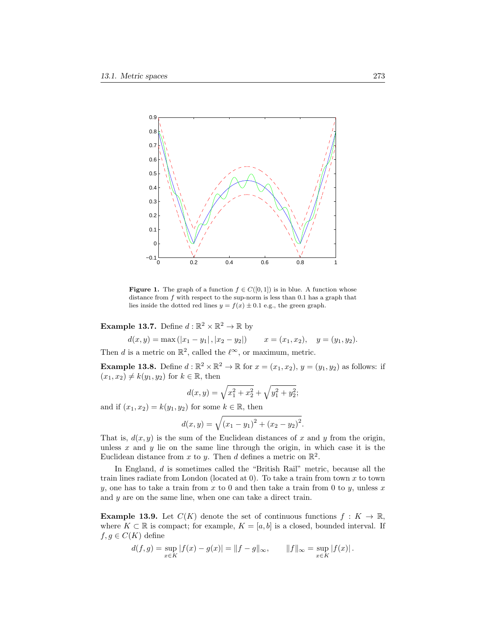

<span id="page-3-0"></span>**Figure 1.** The graph of a function  $f \in C([0,1])$  is in blue. A function whose distance from  $f$  with respect to the sup-norm is less than 0.1 has a graph that lies inside the dotted red lines  $y = f(x) \pm 0.1$  e.g., the green graph.

<span id="page-3-1"></span>**Example 13.7.** Define  $d : \mathbb{R}^2 \times \mathbb{R}^2 \to \mathbb{R}$  by

 $d(x, y) = \max(|x_1 - y_1|, |x_2 - y_2|)$   $x = (x_1, x_2), y = (y_1, y_2).$ 

Then d is a metric on  $\mathbb{R}^2$ , called the  $\ell^{\infty}$ , or maximum, metric.

<span id="page-3-3"></span>**Example 13.8.** Define  $d : \mathbb{R}^2 \times \mathbb{R}^2 \to \mathbb{R}$  for  $x = (x_1, x_2), y = (y_1, y_2)$  as follows: if  $(x_1, x_2) \neq k(y_1, y_2)$  for  $k \in \mathbb{R}$ , then

$$
d(x,y) = \sqrt{x_1^2 + x_2^2} + \sqrt{y_1^2 + y_2^2};
$$

and if  $(x_1, x_2) = k(y_1, y_2)$  for some  $k \in \mathbb{R}$ , then

$$
d(x,y) = \sqrt{(x_1 - y_1)^2 + (x_2 - y_2)^2}.
$$

That is,  $d(x, y)$  is the sum of the Euclidean distances of x and y from the origin, unless  $x$  and  $y$  lie on the same line through the origin, in which case it is the Euclidean distance from x to y. Then d defines a metric on  $\mathbb{R}^2$ .

In England, d is sometimes called the "British Rail" metric, because all the train lines radiate from London (located at  $0$ ). To take a train from town  $x$  to town y, one has to take a train from x to 0 and then take a train from 0 to y, unless x and y are on the same line, when one can take a direct train.

<span id="page-3-2"></span>**Example 13.9.** Let  $C(K)$  denote the set of continuous functions  $f: K \to \mathbb{R}$ , where  $K \subset \mathbb{R}$  is compact; for example,  $K = [a, b]$  is a closed, bounded interval. If  $f, g \in C(K)$  define

$$
d(f,g) = \sup_{x \in K} |f(x) - g(x)| = ||f - g||_{\infty}, \qquad ||f||_{\infty} = \sup_{x \in K} |f(x)|.
$$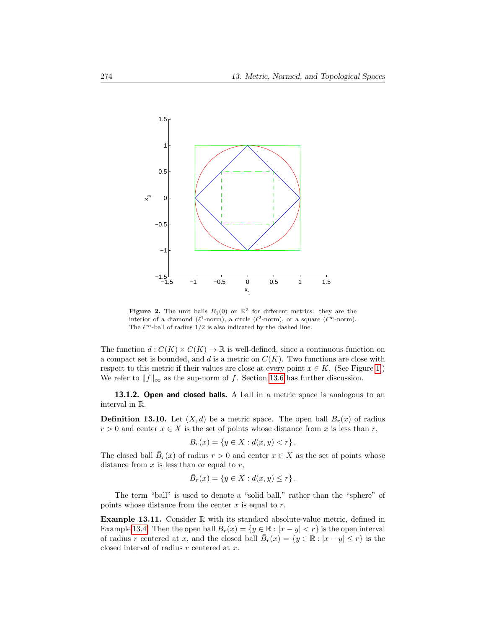

<span id="page-4-0"></span>Figure 2. The unit balls  $B_1(0)$  on  $\mathbb{R}^2$  for different metrics: they are the interior of a diamond ( $\ell^1$ -norm), a circle ( $\ell^2$ -norm), or a square ( $\ell^{\infty}$ -norm). The  $\ell^{\infty}$ -ball of radius 1/2 is also indicated by the dashed line.

The function  $d: C(K) \times C(K) \to \mathbb{R}$  is well-defined, since a continuous function on a compact set is bounded, and d is a metric on  $C(K)$ . Two functions are close with respect to this metric if their values are close at every point  $x \in K$ . (See Figure [1.](#page-3-0)) We refer to  $||f||_{\infty}$  as the sup-norm of f. Section [13.6](#page-19-0) has further discussion.

13.1.2. Open and closed balls. A ball in a metric space is analogous to an interval in R.

**Definition 13.10.** Let  $(X, d)$  be a metric space. The open ball  $B_r(x)$  of radius  $r > 0$  and center  $x \in X$  is the set of points whose distance from x is less than r,

$$
B_r(x) = \{ y \in X : d(x, y) < r \} \, .
$$

The closed ball  $\bar{B}_r(x)$  of radius  $r > 0$  and center  $x \in X$  as the set of points whose distance from  $x$  is less than or equal to  $r$ ,

$$
\bar{B}_r(x) = \{ y \in X : d(x, y) \le r \}.
$$

The term "ball" is used to denote a "solid ball," rather than the "sphere" of points whose distance from the center  $x$  is equal to  $r$ .

**Example 13.11.** Consider  $\mathbb{R}$  with its standard absolute-value metric, defined in Example [13.4.](#page-2-0) Then the open ball  $B_r(x) = \{y \in \mathbb{R} : |x - y| < r\}$  is the open interval of radius r centered at x, and the closed ball  $\overline{B}_r(x) = \{y \in \mathbb{R} : |x - y| \le r\}$  is the closed interval of radius r centered at x.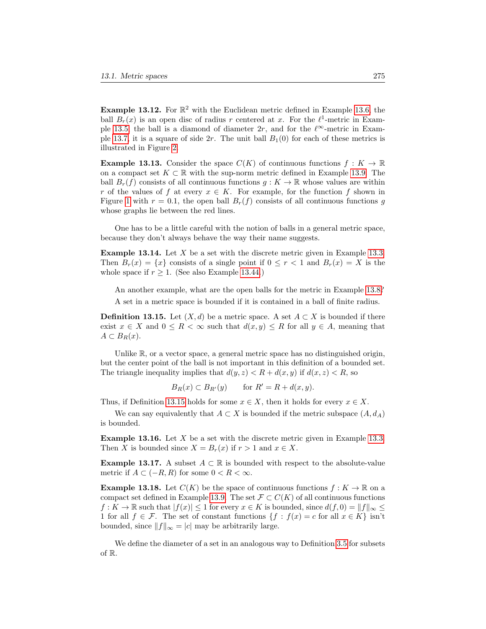**Example 13.12.** For  $\mathbb{R}^2$  with the Euclidean metric defined in Example [13.6,](#page-2-1) the ball  $B_r(x)$  is an open disc of radius r centered at x. For the  $\ell^1$ -metric in Exam-ple [13.5,](#page-2-2) the ball is a diamond of diameter 2r, and for the  $\ell^{\infty}$ -metric in Exam-ple [13.7,](#page-3-1) it is a square of side 2r. The unit ball  $B_1(0)$  for each of these metrics is illustrated in Figure [2.](#page-4-0)

**Example 13.13.** Consider the space  $C(K)$  of continuous functions  $f: K \to \mathbb{R}$ on a compact set  $K \subset \mathbb{R}$  with the sup-norm metric defined in Example [13.9.](#page-3-2) The ball  $B_r(f)$  consists of all continuous functions  $q: K \to \mathbb{R}$  whose values are within r of the values of f at every  $x \in K$ . For example, for the function f shown in Figure [1](#page-3-0) with  $r = 0.1$ , the open ball  $B_r(f)$  consists of all continuous functions g whose graphs lie between the red lines.

One has to be a little careful with the notion of balls in a general metric space, because they don't always behave the way their name suggests.

**Example 13.14.** Let  $X$  be a set with the discrete metric given in Example [13.3.](#page-2-3) Then  $B_r(x) = \{x\}$  consists of a single point if  $0 \leq r < 1$  and  $B_r(x) = X$  is the whole space if  $r > 1$ . (See also Example [13.44.](#page-12-0))

An another example, what are the open balls for the metric in Example [13.8?](#page-3-3)

A set in a metric space is bounded if it is contained in a ball of finite radius.

<span id="page-5-0"></span>**Definition 13.15.** Let  $(X, d)$  be a metric space. A set  $A \subset X$  is bounded if there exist  $x \in X$  and  $0 \leq R < \infty$  such that  $d(x, y) \leq R$  for all  $y \in A$ , meaning that  $A \subset B_R(x)$ .

Unlike  $\mathbb{R}$ , or a vector space, a general metric space has no distinguished origin, but the center point of the ball is not important in this definition of a bounded set. The triangle inequality implies that  $d(y, z) < R + d(x, y)$  if  $d(x, z) < R$ , so

$$
B_R(x) \subset B_{R'}(y) \qquad \text{for } R' = R + d(x, y).
$$

Thus, if Definition [13.15](#page-5-0) holds for some  $x \in X$ , then it holds for every  $x \in X$ .

We can say equivalently that  $A \subset X$  is bounded if the metric subspace  $(A, d_A)$ is bounded.

**Example 13.16.** Let  $X$  be a set with the discrete metric given in Example [13.3.](#page-2-3) Then X is bounded since  $X = B_r(x)$  if  $r > 1$  and  $x \in X$ .

Example 13.17. A subset  $A \subset \mathbb{R}$  is bounded with respect to the absolute-value metric if  $A \subset (-R, R)$  for some  $0 < R < \infty$ .

**Example 13.18.** Let  $C(K)$  be the space of continuous functions  $f: K \to \mathbb{R}$  on a compact set defined in Example [13.9.](#page-3-2) The set  $\mathcal{F} \subset C(K)$  of all continuous functions  $f: K \to \mathbb{R}$  such that  $|f(x)| \leq 1$  for every  $x \in K$  is bounded, since  $d(f, 0) = ||f||_{\infty} \leq$ 1 for all  $f \in \mathcal{F}$ . The set of constant functions  $\{f : f(x) = c \text{ for all } x \in K\}$  isn't bounded, since  $||f||_{\infty} = |c|$  may be arbitrarily large.

We define the diameter of a set in an analogous way to Definition [3.5](#page-0-0) for subsets of R.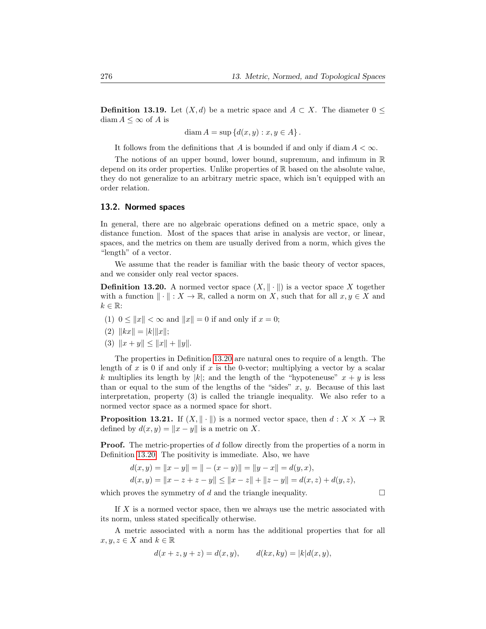**Definition 13.19.** Let  $(X, d)$  be a metric space and  $A \subset X$ . The diameter  $0 \leq$ diam  $A \leq \infty$  of A is

$$
\text{diam}\, A = \sup \{d(x, y) : x, y \in A\}.
$$

It follows from the definitions that A is bounded if and only if diam  $A < \infty$ .

The notions of an upper bound, lower bound, supremum, and infimum in  $\mathbb R$ depend on its order properties. Unlike properties of R based on the absolute value, they do not generalize to an arbitrary metric space, which isn't equipped with an order relation.

## 13.2. Normed spaces

In general, there are no algebraic operations defined on a metric space, only a distance function. Most of the spaces that arise in analysis are vector, or linear, spaces, and the metrics on them are usually derived from a norm, which gives the "length" of a vector.

We assume that the reader is familiar with the basic theory of vector spaces, and we consider only real vector spaces.

<span id="page-6-0"></span>**Definition 13.20.** A normed vector space  $(X, \|\cdot\|)$  is a vector space X together with a function  $\|\cdot\| : X \to \mathbb{R}$ , called a norm on X, such that for all  $x, y \in X$  and  $k \in \mathbb{R}$ :

(1)  $0 \le ||x|| < \infty$  and  $||x|| = 0$  if and only if  $x = 0$ ;

(2) 
$$
||kx|| = |k| ||x||;
$$

(3)  $||x + y|| \le ||x|| + ||y||.$ 

The properties in Definition [13.20](#page-6-0) are natural ones to require of a length. The length of x is 0 if and only if x is the 0-vector; multiplying a vector by a scalar k multiplies its length by |k|; and the length of the "hypoteneuse"  $x + y$  is less than or equal to the sum of the lengths of the "sides"  $x, y$ . Because of this last interpretation, property (3) is called the triangle inequality. We also refer to a normed vector space as a normed space for short.

**Proposition 13.21.** If  $(X, \| \cdot \|)$  is a normed vector space, then  $d : X \times X \to \mathbb{R}$ defined by  $d(x, y) = ||x - y||$  is a metric on X.

**Proof.** The metric-properties of d follow directly from the properties of a norm in Definition [13.20.](#page-6-0) The positivity is immediate. Also, we have

$$
d(x, y) = ||x - y|| = || - (x - y)|| = ||y - x|| = d(y, x),
$$
  
\n
$$
d(x, y) = ||x - z + z - y|| \le ||x - z|| + ||z - y|| = d(x, z) + d(y, z),
$$

which proves the symmetry of d and the triangle inequality.  $\Box$ 

If X is a normed vector space, then we always use the metric associated with its norm, unless stated specifically otherwise.

A metric associated with a norm has the additional properties that for all  $x, y, z \in X$  and  $k \in \mathbb{R}$ 

$$
d(x+z, y+z) = d(x,y), \qquad d(kx, ky) = |k|d(x,y),
$$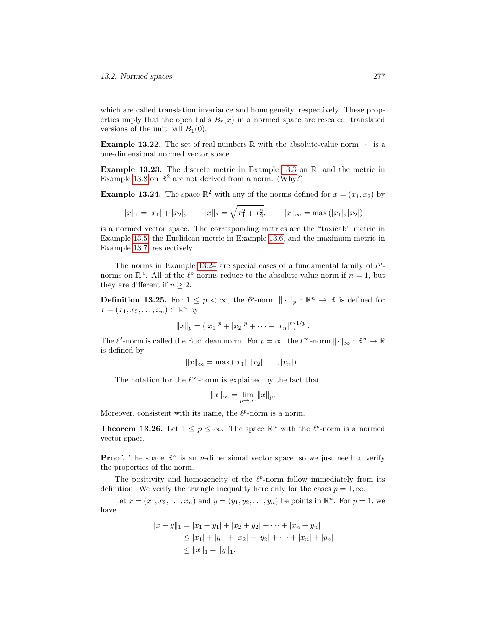which are called translation invariance and homogeneity, respectively. These properties imply that the open balls  $B_r(x)$  in a normed space are rescaled, translated versions of the unit ball  $B_1(0)$ .

**Example 13.22.** The set of real numbers  $\mathbb R$  with the absolute-value norm  $|\cdot|$  is a one-dimensional normed vector space.

**Example 13.23.** The discrete metric in Example [13.3](#page-2-3) on  $\mathbb{R}$ , and the metric in Example [13.8](#page-3-3) on  $\mathbb{R}^2$  are not derived from a norm. (Why?)

<span id="page-7-1"></span>**Example 13.24.** The space  $\mathbb{R}^2$  with any of the norms defined for  $x = (x_1, x_2)$  by

$$
||x||_1 = |x_1| + |x_2|,
$$
  $||x||_2 = \sqrt{x_1^2 + x_2^2},$   $||x||_{\infty} = \max(|x_1|, |x_2|)$ 

is a normed vector space. The corresponding metrics are the "taxicab" metric in Example [13.5,](#page-2-2) the Euclidean metric in Example [13.6,](#page-2-1) and the maximum metric in Example [13.7,](#page-3-1) respectively.

The norms in Example [13.24](#page-7-1) are special cases of a fundamental family of  $\ell^p$ norms on  $\mathbb{R}^n$ . All of the  $\ell^p$ -norms reduce to the absolute-value norm if  $n = 1$ , but they are different if  $n \geq 2$ .

<span id="page-7-2"></span>**Definition 13.25.** For  $1 \leq p < \infty$ , the  $\ell^p$ -norm  $\|\cdot\|_p : \mathbb{R}^n \to \mathbb{R}$  is defined for  $x = (x_1, x_2, \ldots, x_n) \in \mathbb{R}^n$  by

$$
||x||_p = (|x_1|^p + |x_2|^p + \cdots + |x_n|^p)^{1/p}.
$$

The  $\ell^2$ -norm is called the Euclidean norm. For  $p = \infty$ , the  $\ell^{\infty}$ -norm  $\|\cdot\|_{\infty} : \mathbb{R}^n \to \mathbb{R}$ is defined by

$$
||x||_{\infty} = \max (|x_1|, |x_2|, \ldots, |x_n|).
$$

The notation for the  $\ell^{\infty}$ -norm is explained by the fact that

$$
||x||_{\infty} = \lim_{p \to \infty} ||x||_p.
$$

Moreover, consistent with its name, the  $\ell^p$ -norm is a norm.

<span id="page-7-0"></span>**Theorem 13.26.** Let  $1 \leq p \leq \infty$ . The space  $\mathbb{R}^n$  with the  $\ell^p$ -norm is a normed vector space.

**Proof.** The space  $\mathbb{R}^n$  is an *n*-dimensional vector space, so we just need to verify the properties of the norm.

The positivity and homogeneity of the  $\ell^p$ -norm follow immediately from its definition. We verify the triangle inequality here only for the cases  $p = 1, \infty$ .

Let  $x = (x_1, x_2, \ldots, x_n)$  and  $y = (y_1, y_2, \ldots, y_n)$  be points in  $\mathbb{R}^n$ . For  $p = 1$ , we have

$$
||x + y||_1 = |x_1 + y_1| + |x_2 + y_2| + \dots + |x_n + y_n|
$$
  
\n
$$
\leq |x_1| + |y_1| + |x_2| + |y_2| + \dots + |x_n| + |y_n|
$$
  
\n
$$
\leq ||x||_1 + ||y||_1.
$$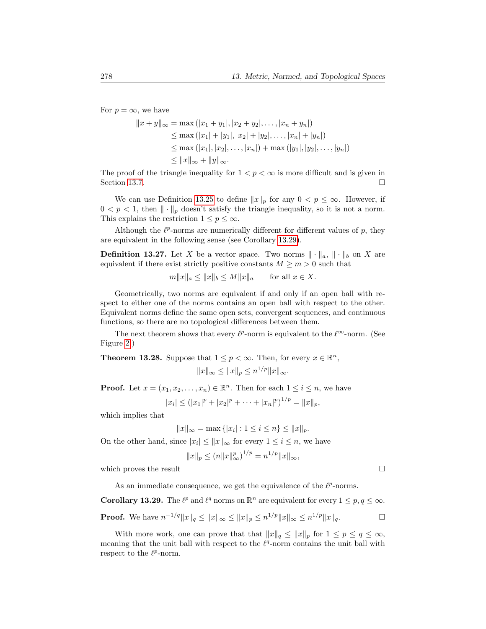For  $p = \infty$ , we have

$$
||x + y||_{\infty} = \max (|x_1 + y_1|, |x_2 + y_2|, ..., |x_n + y_n|)
$$
  
\n
$$
\leq \max (|x_1| + |y_1|, |x_2| + |y_2|, ..., |x_n| + |y_n|)
$$
  
\n
$$
\leq \max (|x_1|, |x_2|, ..., |x_n|) + \max (|y_1|, |y_2|, ..., |y_n|)
$$
  
\n
$$
\leq ||x||_{\infty} + ||y||_{\infty}.
$$

The proof of the triangle inequality for  $1 < p < \infty$  is more difficult and is given in Section [13.7.](#page-23-0)  $\Box$ 

We can use Definition [13.25](#page-7-2) to define  $||x||_p$  for any  $0 < p \leq \infty$ . However, if  $0 < p < 1$ , then  $\|\cdot\|_p$  doesn't satisfy the triangle inequality, so it is not a norm. This explains the restriction  $1 \leq p \leq \infty$ .

Although the  $\ell^p$ -norms are numerically different for different values of  $p$ , they are equivalent in the following sense (see Corollary [13.29\)](#page-8-0).

**Definition 13.27.** Let X be a vector space. Two norms  $\|\cdot\|_a$ ,  $\|\cdot\|_b$  on X are equivalent if there exist strictly positive constants  $M \geq m > 0$  such that

$$
m||x||_a \le ||x||_b \le M||x||_a \quad \text{for all } x \in X.
$$

Geometrically, two norms are equivalent if and only if an open ball with respect to either one of the norms contains an open ball with respect to the other. Equivalent norms define the same open sets, convergent sequences, and continuous functions, so there are no topological differences between them.

The next theorem shows that every  $\ell^p$ -norm is equivalent to the  $\ell^{\infty}$ -norm. (See Figure [2.](#page-4-0))

<span id="page-8-1"></span>**Theorem 13.28.** Suppose that  $1 \leq p < \infty$ . Then, for every  $x \in \mathbb{R}^n$ ,

$$
||x||_{\infty} \le ||x||_p \le n^{1/p} ||x||_{\infty}.
$$

**Proof.** Let  $x = (x_1, x_2, \dots, x_n) \in \mathbb{R}^n$ . Then for each  $1 \leq i \leq n$ , we have

$$
|x_i| \le (|x_1|^p + |x_2|^p + \dots + |x_n|^p)^{1/p} = ||x||_p,
$$

which implies that

$$
||x||_{\infty} = \max\{|x_i| : 1 \le i \le n\} \le ||x||_p.
$$

On the other hand, since  $|x_i| \leq ||x||_{\infty}$  for every  $1 \leq i \leq n$ , we have

$$
||x||_p \le (n||x||_{\infty}^p)^{1/p} = n^{1/p} ||x||_{\infty},
$$

which proves the result  $\Box$ 

As an immediate consequence, we get the equivalence of the  $\ell^p$ -norms.

<span id="page-8-0"></span>**Corollary 13.29.** The  $\ell^p$  and  $\ell^q$  norms on  $\mathbb{R}^n$  are equivalent for every  $1 \leq p, q \leq \infty$ .

**Proof.** We have 
$$
n^{-1/q} \|x\|_q \le \|x\|_\infty \le \|x\|_p \le n^{1/p} \|x\|_\infty \le n^{1/p} \|x\|_q
$$
.

With more work, one can prove that that  $||x||_q \leq ||x||_p$  for  $1 \leq p \leq q \leq \infty$ , meaning that the unit ball with respect to the  $\ell^q$ -norm contains the unit ball with respect to the  $\ell^p$ -norm.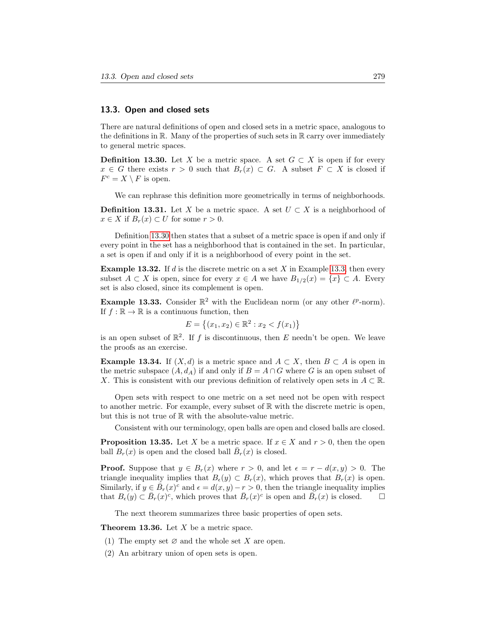# 13.3. Open and closed sets

There are natural definitions of open and closed sets in a metric space, analogous to the definitions in  $\mathbb R$ . Many of the properties of such sets in  $\mathbb R$  carry over immediately to general metric spaces.

<span id="page-9-0"></span>**Definition 13.30.** Let X be a metric space. A set  $G \subset X$  is open if for every  $x \in G$  there exists  $r > 0$  such that  $B_r(x) \subset G$ . A subset  $F \subset X$  is closed if  $F^c = X \setminus F$  is open.

We can rephrase this definition more geometrically in terms of neighborhoods.

**Definition 13.31.** Let X be a metric space. A set  $U \subset X$  is a neighborhood of  $x \in X$  if  $B_r(x) \subset U$  for some  $r > 0$ .

Definition [13.30](#page-9-0) then states that a subset of a metric space is open if and only if every point in the set has a neighborhood that is contained in the set. In particular, a set is open if and only if it is a neighborhood of every point in the set.

**Example 13.32.** If d is the discrete metric on a set  $X$  in Example [13.3,](#page-2-3) then every subset  $A \subset X$  is open, since for every  $x \in A$  we have  $B_{1/2}(x) = \{x\} \subset A$ . Every set is also closed, since its complement is open.

Example 13.33. Consider  $\mathbb{R}^2$  with the Euclidean norm (or any other  $\ell^p$ -norm). If  $f : \mathbb{R} \to \mathbb{R}$  is a continuous function, then

$$
E = \{(x_1, x_2) \in \mathbb{R}^2 : x_2 < f(x_1)\}
$$

is an open subset of  $\mathbb{R}^2$ . If f is discontinuous, then E needn't be open. We leave the proofs as an exercise.

**Example 13.34.** If  $(X,d)$  is a metric space and  $A \subset X$ , then  $B \subset A$  is open in the metric subspace  $(A, d_A)$  if and only if  $B = A \cap G$  where G is an open subset of X. This is consistent with our previous definition of relatively open sets in  $A \subset \mathbb{R}$ .

Open sets with respect to one metric on a set need not be open with respect to another metric. For example, every subset of  $\mathbb R$  with the discrete metric is open, but this is not true of R with the absolute-value metric.

Consistent with our terminology, open balls are open and closed balls are closed.

**Proposition 13.35.** Let X be a metric space. If  $x \in X$  and  $r > 0$ , then the open ball  $B_r(x)$  is open and the closed ball  $\overline{B}_r(x)$  is closed.

**Proof.** Suppose that  $y \in B_r(x)$  where  $r > 0$ , and let  $\epsilon = r - d(x, y) > 0$ . The triangle inequality implies that  $B_{\epsilon}(y) \subset B_r(x)$ , which proves that  $B_r(x)$  is open. Similarly, if  $y \in \overline{B}_r(x)^c$  and  $\epsilon = d(x, y) - r > 0$ , then the triangle inequality implies that  $B_{\epsilon}(y) \subset \bar{B}_r(x)^c$ , which proves that  $\bar{B}_r(x)^c$  is open and  $\bar{B}_r(x)$  is closed.

The next theorem summarizes three basic properties of open sets.

<span id="page-9-1"></span>**Theorem 13.36.** Let  $X$  be a metric space.

- (1) The empty set  $\varnothing$  and the whole set X are open.
- (2) An arbitrary union of open sets is open.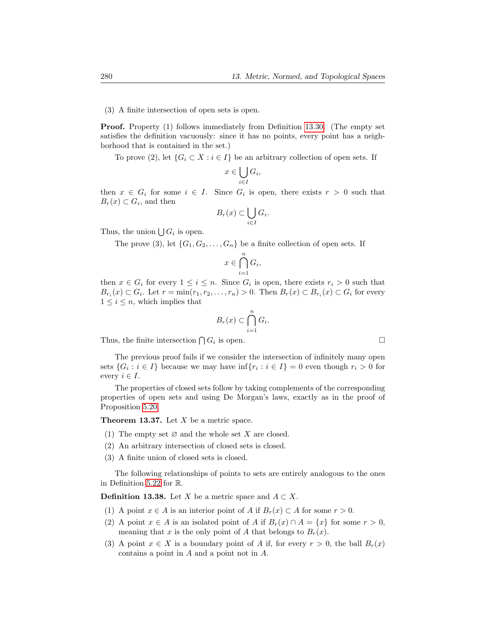#### (3) A finite intersection of open sets is open.

Proof. Property (1) follows immediately from Definition [13.30.](#page-9-0) (The empty set satisfies the definition vacuously: since it has no points, every point has a neighborhood that is contained in the set.)

To prove (2), let  $\{G_i \subset X : i \in I\}$  be an arbitrary collection of open sets. If

$$
x \in \bigcup_{i \in I} G_i,
$$

then  $x \in G_i$  for some  $i \in I$ . Since  $G_i$  is open, there exists  $r > 0$  such that  $B_r(x) \subset G_i$ , and then

$$
B_r(x) \subset \bigcup_{i \in I} G_i.
$$

Thus, the union  $\bigcup G_i$  is open.

The prove (3), let  $\{G_1, G_2, \ldots, G_n\}$  be a finite collection of open sets. If

$$
x \in \bigcap_{i=1}^n G_i,
$$

then  $x \in G_i$  for every  $1 \leq i \leq n$ . Since  $G_i$  is open, there exists  $r_i > 0$  such that  $B_{r_i}(x) \subset G_i$ . Let  $r = \min(r_1, r_2, \ldots, r_n) > 0$ . Then  $B_r(x) \subset B_{r_i}(x) \subset G_i$  for every  $1 \leq i \leq n$ , which implies that

$$
B_r(x) \subset \bigcap_{i=1}^n G_i.
$$

Thus, the finite intersection  $\bigcap G_i$  is open.

The previous proof fails if we consider the intersection of infinitely many open sets  $\{G_i : i \in I\}$  because we may have  $\inf\{r_i : i \in I\} = 0$  even though  $r_i > 0$  for every  $i \in I$ .

The properties of closed sets follow by taking complements of the corresponding properties of open sets and using De Morgan's laws, exactly as in the proof of Proposition [5.20.](#page-0-0)

<span id="page-10-1"></span>**Theorem 13.37.** Let  $X$  be a metric space.

- (1) The empty set  $\varnothing$  and the whole set X are closed.
- (2) An arbitrary intersection of closed sets is closed.
- (3) A finite union of closed sets is closed.

The following relationships of points to sets are entirely analogous to the ones in Definition [5.22](#page-0-0) for R.

<span id="page-10-0"></span>**Definition 13.38.** Let X be a metric space and  $A \subset X$ .

- (1) A point  $x \in A$  is an interior point of A if  $B_r(x) \subset A$  for some  $r > 0$ .
- (2) A point  $x \in A$  is an isolated point of A if  $B_r(x) \cap A = \{x\}$  for some  $r > 0$ , meaning that x is the only point of A that belongs to  $B_r(x)$ .
- (3) A point  $x \in X$  is a boundary point of A if, for every  $r > 0$ , the ball  $B_r(x)$ contains a point in A and a point not in A.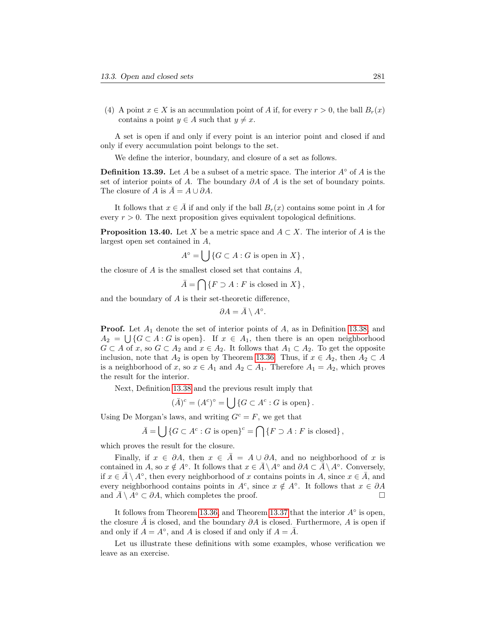(4) A point  $x \in X$  is an accumulation point of A if, for every  $r > 0$ , the ball  $B_r(x)$ contains a point  $y \in A$  such that  $y \neq x$ .

A set is open if and only if every point is an interior point and closed if and only if every accumulation point belongs to the set.

We define the interior, boundary, and closure of a set as follows.

**Definition 13.39.** Let A be a subset of a metric space. The interior  $A^\circ$  of A is the set of interior points of A. The boundary  $\partial A$  of A is the set of boundary points. The closure of A is  $\overline{A} = A \cup \partial A$ .

It follows that  $x \in \overline{A}$  if and only if the ball  $B_r(x)$  contains some point in A for every  $r > 0$ . The next proposition gives equivalent topological definitions.

**Proposition 13.40.** Let X be a metric space and  $A \subset X$ . The interior of A is the largest open set contained in A,

$$
A^{\circ} = \bigcup \{ G \subset A : G \text{ is open in } X \},
$$

the closure of  $A$  is the smallest closed set that contains  $A$ ,

 $\bar{A} = \bigcap \{F \supset A : F \text{ is closed in } X\},\$ 

and the boundary of A is their set-theoretic difference,

$$
\partial A = \bar{A} \setminus A^{\circ}.
$$

**Proof.** Let  $A_1$  denote the set of interior points of  $A$ , as in Definition [13.38,](#page-10-0) and  $A_2 = \bigcup \{G \subset A : G \text{ is open}\}\.$  If  $x \in A_1$ , then there is an open neighborhood  $G \subset A$  of x, so  $G \subset A_2$  and  $x \in A_2$ . It follows that  $A_1 \subset A_2$ . To get the opposite inclusion, note that  $A_2$  is open by Theorem [13.36.](#page-9-1) Thus, if  $x \in A_2$ , then  $A_2 \subset A$ is a neighborhood of x, so  $x \in A_1$  and  $A_2 \subset A_1$ . Therefore  $A_1 = A_2$ , which proves the result for the interior.

Next, Definition [13.38](#page-10-0) and the previous result imply that

$$
(\overline{A})^c = (A^c)^\circ = \bigcup \{ G \subset A^c : G \text{ is open} \}.
$$

Using De Morgan's laws, and writing  $G^c = F$ , we get that

$$
\bar{A} = \bigcup \{ G \subset A^c : G \text{ is open} \}^c = \bigcap \{ F \supset A : F \text{ is closed} \},
$$

which proves the result for the closure.

Finally, if  $x \in \partial A$ , then  $x \in \overline{A} = A \cup \partial A$ , and no neighborhood of x is contained in A, so  $x \notin A^{\circ}$ . It follows that  $x \in \bar{A} \setminus A^{\circ}$  and  $\partial A \subset \bar{A} \setminus A^{\circ}$ . Conversely, if  $x \in \overline{A} \setminus A^{\circ}$ , then every neighborhood of x contains points in A, since  $x \in \overline{A}$ , and every neighborhood contains points in  $A^c$ , since  $x \notin A^{\circ}$ . It follows that  $x \in \partial A$ and  $\overline{A} \setminus A^{\circ} \subset \partial A$ , which completes the proof.

It follows from Theorem [13.36,](#page-9-1) and Theorem [13.37](#page-10-1) that the interior  $A^{\circ}$  is open, the closure  $\overline{A}$  is closed, and the boundary  $\partial A$  is closed. Furthermore, A is open if and only if  $A = A^{\circ}$ , and A is closed if and only if  $A = \overline{A}$ .

Let us illustrate these definitions with some examples, whose verification we leave as an exercise.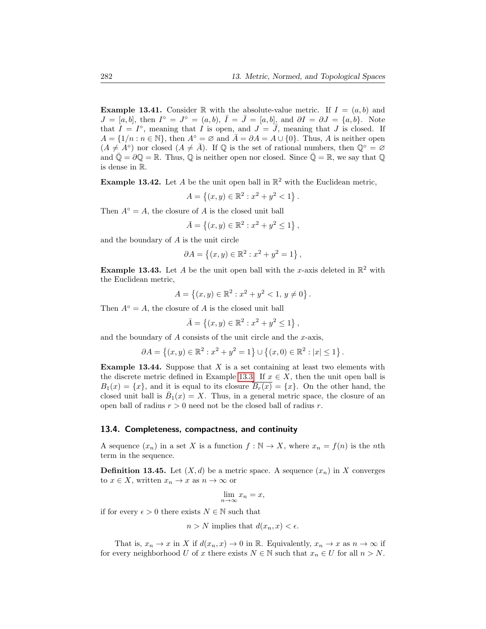**Example 13.41.** Consider R with the absolute-value metric. If  $I = (a, b)$  and  $J = [a, b],$  then  $I^{\circ} = J^{\circ} = (a, b), \bar{I} = \bar{J} = [a, b],$  and  $\partial I = \partial J = \{a, b\}.$  Note that  $I = I^{\circ}$ , meaning that I is open, and  $J = \overline{J}$ , meaning that J is closed. If  $A = \{1/n : n \in \mathbb{N}\}\$ , then  $A^\circ = \emptyset$  and  $\overline{A} = \partial A = A \cup \{0\}$ . Thus, A is neither open  $(A \neq A^{\circ})$  nor closed  $(A \neq \overline{A})$ . If  $\mathbb Q$  is the set of rational numbers, then  $\mathbb Q^{\circ} = \varnothing$ and  $\overline{Q} = \partial Q = \mathbb{R}$ . Thus,  $Q$  is neither open nor closed. Since  $\overline{Q} = \mathbb{R}$ , we say that  $Q$ is dense in R.

**Example 13.42.** Let A be the unit open ball in  $\mathbb{R}^2$  with the Euclidean metric,

$$
A = \{(x, y) \in \mathbb{R}^2 : x^2 + y^2 < 1\}.
$$

Then  $A^\circ = A$ , the closure of A is the closed unit ball

$$
\bar{A} = \{(x, y) \in \mathbb{R}^2 : x^2 + y^2 \le 1\},\
$$

and the boundary of  $A$  is the unit circle

$$
\partial A = \{(x, y) \in \mathbb{R}^2 : x^2 + y^2 = 1\},\
$$

**Example 13.43.** Let A be the unit open ball with the x-axis deleted in  $\mathbb{R}^2$  with the Euclidean metric,

$$
A = \{(x, y) \in \mathbb{R}^2 : x^2 + y^2 < 1, y \neq 0\}.
$$

Then  $A^\circ = A$ , the closure of A is the closed unit ball

$$
\bar{A} = \{(x, y) \in \mathbb{R}^2 : x^2 + y^2 \le 1\},\
$$

and the boundary of  $A$  consists of the unit circle and the  $x$ -axis,

$$
\partial A = \{(x, y) \in \mathbb{R}^2 : x^2 + y^2 = 1\} \cup \{(x, 0) \in \mathbb{R}^2 : |x| \le 1\}.
$$

<span id="page-12-0"></span>**Example 13.44.** Suppose that  $X$  is a set containing at least two elements with the discrete metric defined in Example [13.3.](#page-2-3) If  $x \in X$ , then the unit open ball is  $B_1(x) = \{x\}$ , and it is equal to its closure  $B_r(x) = \{x\}$ . On the other hand, the closed unit ball is  $\bar{B}_1(x) = X$ . Thus, in a general metric space, the closure of an open ball of radius  $r > 0$  need not be the closed ball of radius r.

### 13.4. Completeness, compactness, and continuity

A sequence  $(x_n)$  in a set X is a function  $f : \mathbb{N} \to X$ , where  $x_n = f(n)$  is the nth term in the sequence.

<span id="page-12-1"></span>**Definition 13.45.** Let  $(X, d)$  be a metric space. A sequence  $(x_n)$  in X converges to  $x \in X$ , written  $x_n \to x$  as  $n \to \infty$  or

$$
\lim_{n \to \infty} x_n = x,
$$

if for every  $\epsilon > 0$  there exists  $N \in \mathbb{N}$  such that

$$
n > N
$$
 implies that  $d(x_n, x) < \epsilon$ .

That is,  $x_n \to x$  in X if  $d(x_n, x) \to 0$  in R. Equivalently,  $x_n \to x$  as  $n \to \infty$  if for every neighborhood U of x there exists  $N \in \mathbb{N}$  such that  $x_n \in U$  for all  $n > N$ .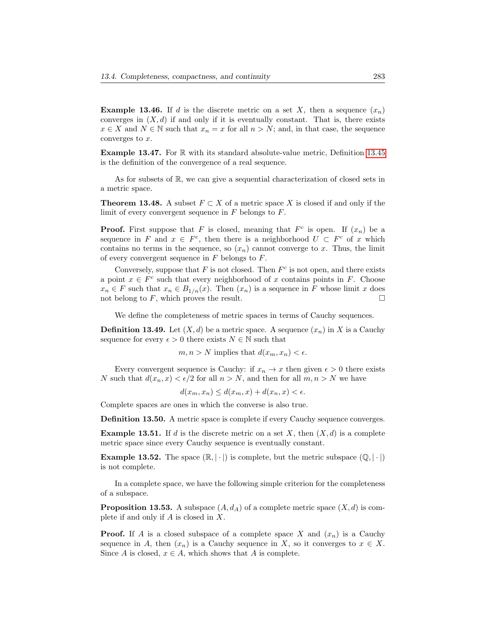<span id="page-13-1"></span>**Example 13.46.** If d is the discrete metric on a set X, then a sequence  $(x_n)$ converges in  $(X, d)$  if and only if it is eventually constant. That is, there exists  $x \in X$  and  $N \in \mathbb{N}$  such that  $x_n = x$  for all  $n > N$ ; and, in that case, the sequence converges to  $x$ .

Example 13.47. For R with its standard absolute-value metric, Definition [13.45](#page-12-1) is the definition of the convergence of a real sequence.

As for subsets of R, we can give a sequential characterization of closed sets in a metric space.

<span id="page-13-0"></span>**Theorem 13.48.** A subset  $F \subset X$  of a metric space X is closed if and only if the limit of every convergent sequence in  $F$  belongs to  $F$ .

**Proof.** First suppose that F is closed, meaning that  $F^c$  is open. If  $(x_n)$  be a sequence in F and  $x \in F^c$ , then there is a neighborhood  $U \subset F^c$  of x which contains no terms in the sequence, so  $(x_n)$  cannot converge to x. Thus, the limit of every convergent sequence in  $F$  belongs to  $F$ .

Conversely, suppose that  $F$  is not closed. Then  $F^c$  is not open, and there exists a point  $x \in F^c$  such that every neighborhood of x contains points in F. Choose  $x_n \in F$  such that  $x_n \in B_{1/n}(x)$ . Then  $(x_n)$  is a sequence in F whose limit x does not belong to  $F$ , which proves the result.

We define the completeness of metric spaces in terms of Cauchy sequences.

**Definition 13.49.** Let  $(X, d)$  be a metric space. A sequence  $(x_n)$  in X is a Cauchy sequence for every  $\epsilon > 0$  there exists  $N \in \mathbb{N}$  such that

 $m, n > N$  implies that  $d(x_m, x_n) < \epsilon$ .

Every convergent sequence is Cauchy: if  $x_n \to x$  then given  $\epsilon > 0$  there exists N such that  $d(x_n, x) < \epsilon/2$  for all  $n > N$ , and then for all  $m, n > N$  we have

 $d(x_m, x_n) \leq d(x_m, x) + d(x_n, x) < \epsilon.$ 

Complete spaces are ones in which the converse is also true.

Definition 13.50. A metric space is complete if every Cauchy sequence converges.

**Example 13.51.** If d is the discrete metric on a set X, then  $(X, d)$  is a complete metric space since every Cauchy sequence is eventually constant.

**Example 13.52.** The space  $(\mathbb{R}, |\cdot|)$  is complete, but the metric subspace  $(\mathbb{Q}, |\cdot|)$ is not complete.

In a complete space, we have the following simple criterion for the completeness of a subspace.

**Proposition 13.53.** A subspace  $(A, d_A)$  of a complete metric space  $(X, d)$  is complete if and only if  $A$  is closed in  $X$ .

**Proof.** If A is a closed subspace of a complete space X and  $(x_n)$  is a Cauchy sequence in A, then  $(x_n)$  is a Cauchy sequence in X, so it converges to  $x \in X$ . Since A is closed,  $x \in A$ , which shows that A is complete.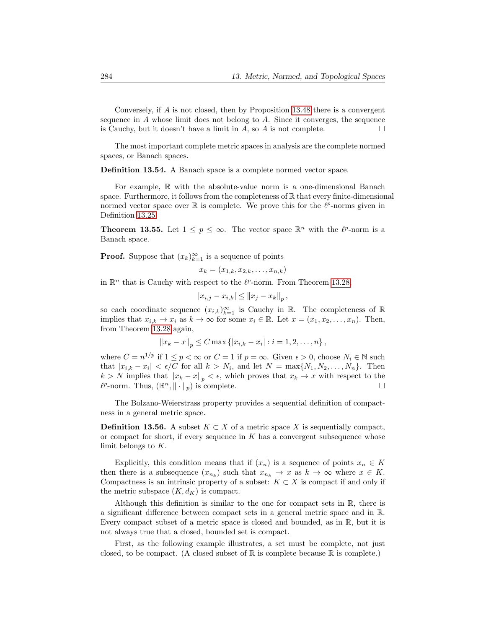Conversely, if A is not closed, then by Proposition [13.48](#page-13-0) there is a convergent sequence in A whose limit does not belong to A. Since it converges, the sequence is Cauchy, but it doesn't have a limit in A, so A is not complete.  $\Box$ 

The most important complete metric spaces in analysis are the complete normed spaces, or Banach spaces.

Definition 13.54. A Banach space is a complete normed vector space.

For example, R with the absolute-value norm is a one-dimensional Banach space. Furthermore, it follows from the completeness of  $\mathbb R$  that every finite-dimensional normed vector space over  $\mathbb R$  is complete. We prove this for the  $\ell^p$ -norms given in Definition [13.25.](#page-7-2)

**Theorem 13.55.** Let  $1 \leq p \leq \infty$ . The vector space  $\mathbb{R}^n$  with the  $\ell^p$ -norm is a Banach space.

**Proof.** Suppose that  $(x_k)_{k=1}^{\infty}$  is a sequence of points

$$
x_k = (x_{1,k}, x_{2,k}, \ldots, x_{n,k})
$$

in  $\mathbb{R}^n$  that is Cauchy with respect to the  $\ell^p$ -norm. From Theorem [13.28,](#page-8-1)

$$
|x_{i,j} - x_{i,k}| \leq ||x_j - x_k||_p,
$$

so each coordinate sequence  $(x_{i,k})_{k=1}^{\infty}$  is Cauchy in R. The completeness of R implies that  $x_{i,k} \to x_i$  as  $k \to \infty$  for some  $x_i \in \mathbb{R}$ . Let  $x = (x_1, x_2, \ldots, x_n)$ . Then, from Theorem [13.28](#page-8-1) again,

$$
||x_k - x||_p \le C \max\{|x_{i,k} - x_i| : i = 1, 2, ..., n\},\
$$

where  $C = n^{1/p}$  if  $1 \le p < \infty$  or  $C = 1$  if  $p = \infty$ . Given  $\epsilon > 0$ , choose  $N_i \in \mathbb{N}$  such that  $|x_{i,k} - x_i| < \epsilon/C$  for all  $k > N_i$ , and let  $N = \max\{N_1, N_2, \ldots, N_n\}$ . Then  $k > N$  implies that  $||x_k - x||_p < \epsilon$ , which proves that  $x_k \to x$  with respect to the  $\ell^p$ -norm. Thus,  $(\mathbb{R}^n, \|\cdot\|_p)$  is complete.

The Bolzano-Weierstrass property provides a sequential definition of compactness in a general metric space.

**Definition 13.56.** A subset  $K \subset X$  of a metric space X is sequentially compact, or compact for short, if every sequence in  $K$  has a convergent subsequence whose limit belongs to K.

Explicitly, this condition means that if  $(x_n)$  is a sequence of points  $x_n \in K$ then there is a subsequence  $(x_{n_k})$  such that  $x_{n_k} \to x$  as  $k \to \infty$  where  $x \in K$ . Compactness is an intrinsic property of a subset:  $K \subset X$  is compact if and only if the metric subspace  $(K, d_K)$  is compact.

Although this definition is similar to the one for compact sets in  $\mathbb{R}$ , there is a significant difference between compact sets in a general metric space and in R. Every compact subset of a metric space is closed and bounded, as in R, but it is not always true that a closed, bounded set is compact.

First, as the following example illustrates, a set must be complete, not just closed, to be compact. (A closed subset of  $\mathbb R$  is complete because  $\mathbb R$  is complete.)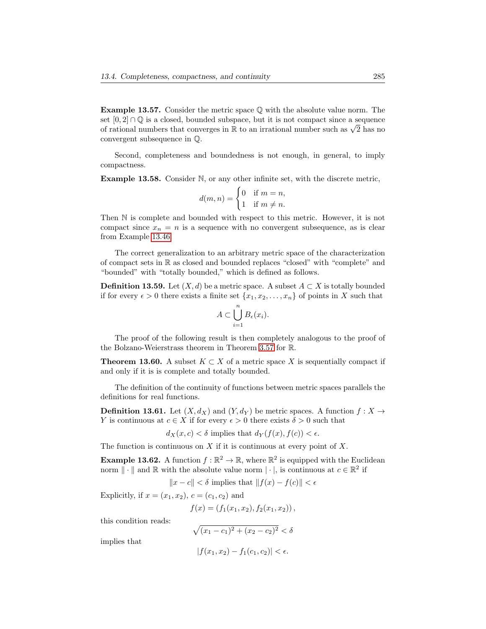**Example 13.57.** Consider the metric space  $\mathbb Q$  with the absolute value norm. The set  $[0, 2] \cap \mathbb{Q}$  is a closed, bounded subspace, but it is not compact since a sequence set  $[0, 2] \cap \mathbb{Q}$  is a closed, bounded subspace, but it is not compact since a sequence<br>of rational numbers that converges in R to an irrational number such as  $\sqrt{2}$  has no convergent subsequence in Q.

Second, completeness and boundedness is not enough, in general, to imply compactness.

Example 13.58. Consider N, or any other infinite set, with the discrete metric,

$$
d(m, n) = \begin{cases} 0 & \text{if } m = n, \\ 1 & \text{if } m \neq n. \end{cases}
$$

Then N is complete and bounded with respect to this metric. However, it is not compact since  $x_n = n$  is a sequence with no convergent subsequence, as is clear from Example [13.46.](#page-13-1)

The correct generalization to an arbitrary metric space of the characterization of compact sets in R as closed and bounded replaces "closed" with "complete" and "bounded" with "totally bounded," which is defined as follows.

**Definition 13.59.** Let  $(X, d)$  be a metric space. A subset  $A \subset X$  is totally bounded if for every  $\epsilon > 0$  there exists a finite set  $\{x_1, x_2, \ldots, x_n\}$  of points in X such that

$$
A \subset \bigcup_{i=1}^n B_{\epsilon}(x_i).
$$

The proof of the following result is then completely analogous to the proof of the Bolzano-Weierstrass theorem in Theorem [3.57](#page-0-0) for R.

**Theorem 13.60.** A subset  $K \subset X$  of a metric space X is sequentially compact if and only if it is is complete and totally bounded.

The definition of the continuity of functions between metric spaces parallels the definitions for real functions.

**Definition 13.61.** Let  $(X, d_X)$  and  $(Y, d_Y)$  be metric spaces. A function  $f : X \to Y$ Y is continuous at  $c \in X$  if for every  $\epsilon > 0$  there exists  $\delta > 0$  such that

$$
d_X(x, c) < \delta \text{ implies that } d_Y(f(x), f(c)) < \epsilon.
$$

The function is continuous on  $X$  if it is continuous at every point of  $X$ .

**Example 13.62.** A function  $f : \mathbb{R}^2 \to \mathbb{R}$ , where  $\mathbb{R}^2$  is equipped with the Euclidean norm  $\|\cdot\|$  and  $\mathbb R$  with the absolute value norm  $|\cdot|$ , is continuous at  $c \in \mathbb R^2$  if

$$
||x - c|| < \delta
$$
 implies that  $||f(x) - f(c)|| < \epsilon$ 

Explicitly, if  $x = (x_1, x_2), c = (c_1, c_2)$  and

$$
f(x) = (f_1(x_1, x_2), f_2(x_1, x_2)),
$$

this condition reads:

$$
\sqrt{(x_1 - c_1)^2 + (x_2 - c_2)^2} < \delta
$$

implies that

$$
|f(x_1, x_2) - f_1(c_1, c_2)| < \epsilon.
$$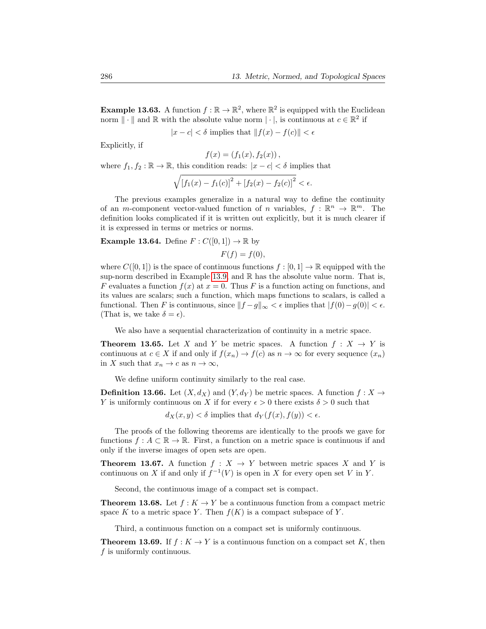**Example 13.63.** A function  $f : \mathbb{R} \to \mathbb{R}^2$ , where  $\mathbb{R}^2$  is equipped with the Euclidean norm  $\|\cdot\|$  and  $\mathbb R$  with the absolute value norm  $|\cdot|$ , is continuous at  $c \in \mathbb R^2$  if

 $|x - c| < \delta$  implies that  $||f(x) - f(c)|| < \epsilon$ 

Explicitly, if

 $f(x) = (f_1(x), f_2(x)),$ 

where  $f_1, f_2 : \mathbb{R} \to \mathbb{R}$ , this condition reads:  $|x - c| < \delta$  implies that

$$
\sqrt{\left[f_1(x) - f_1(c)\right]^2 + \left[f_2(x) - f_2(c)\right]^2} < \epsilon.
$$

The previous examples generalize in a natural way to define the continuity of an *m*-component vector-valued function of *n* variables,  $f : \mathbb{R}^n \to \mathbb{R}^m$ . The definition looks complicated if it is written out explicitly, but it is much clearer if it is expressed in terms or metrics or norms.

**Example 13.64.** Define  $F: C([0,1]) \to \mathbb{R}$  by

 $F(f) = f(0),$ 

where  $C([0, 1])$  is the space of continuous functions  $f : [0, 1] \to \mathbb{R}$  equipped with the sup-norm described in Example [13.9,](#page-3-2) and  $\mathbb R$  has the absolute value norm. That is, F evaluates a function  $f(x)$  at  $x = 0$ . Thus F is a function acting on functions, and its values are scalars; such a function, which maps functions to scalars, is called a functional. Then F is continuous, since  $||f - g||_{\infty} < \epsilon$  implies that  $|f(0) - g(0)| < \epsilon$ . (That is, we take  $\delta = \epsilon$ ).

We also have a sequential characterization of continuity in a metric space.

**Theorem 13.65.** Let X and Y be metric spaces. A function  $f : X \to Y$  is continuous at  $c \in X$  if and only if  $f(x_n) \to f(c)$  as  $n \to \infty$  for every sequence  $(x_n)$ in X such that  $x_n \to c$  as  $n \to \infty$ ,

We define uniform continuity similarly to the real case.

**Definition 13.66.** Let  $(X, d_X)$  and  $(Y, d_Y)$  be metric spaces. A function  $f : X \to Y$ Y is uniformly continuous on X if for every  $\epsilon > 0$  there exists  $\delta > 0$  such that

 $d_X(x, y) < \delta$  implies that  $d_Y(f(x), f(y)) < \epsilon$ .

The proofs of the following theorems are identically to the proofs we gave for functions  $f: A \subset \mathbb{R} \to \mathbb{R}$ . First, a function on a metric space is continuous if and only if the inverse images of open sets are open.

**Theorem 13.67.** A function  $f : X \to Y$  between metric spaces X and Y is continuous on X if and only if  $f^{-1}(V)$  is open in X for every open set V in Y.

Second, the continuous image of a compact set is compact.

**Theorem 13.68.** Let  $f : K \to Y$  be a continuous function from a compact metric space K to a metric space Y. Then  $f(K)$  is a compact subspace of Y.

Third, a continuous function on a compact set is uniformly continuous.

**Theorem 13.69.** If  $f : K \to Y$  is a continuous function on a compact set K, then f is uniformly continuous.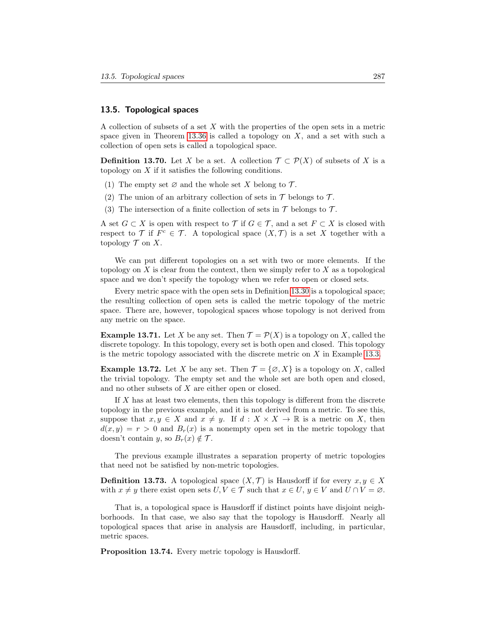## 13.5. Topological spaces

A collection of subsets of a set X with the properties of the open sets in a metric space given in Theorem [13.36](#page-9-1) is called a topology on  $X$ , and a set with such a collection of open sets is called a topological space.

**Definition 13.70.** Let X be a set. A collection  $\mathcal{T} \subset \mathcal{P}(X)$  of subsets of X is a topology on  $X$  if it satisfies the following conditions.

- (1) The empty set  $\varnothing$  and the whole set X belong to  $\mathcal{T}$ .
- (2) The union of an arbitrary collection of sets in  $\mathcal T$  belongs to  $\mathcal T$ .
- (3) The intersection of a finite collection of sets in  $\mathcal T$  belongs to  $\mathcal T$ .

A set  $G \subset X$  is open with respect to  $\mathcal T$  if  $G \in \mathcal T$ , and a set  $F \subset X$  is closed with respect to T if  $F^c \in \mathcal{T}$ . A topological space  $(X, \mathcal{T})$  is a set X together with a topology  $T$  on X.

We can put different topologies on a set with two or more elements. If the topology on  $X$  is clear from the context, then we simply refer to  $X$  as a topological space and we don't specify the topology when we refer to open or closed sets.

Every metric space with the open sets in Definition [13.30](#page-9-0) is a topological space; the resulting collection of open sets is called the metric topology of the metric space. There are, however, topological spaces whose topology is not derived from any metric on the space.

<span id="page-17-0"></span>**Example 13.71.** Let X be any set. Then  $\mathcal{T} = \mathcal{P}(X)$  is a topology on X, called the discrete topology. In this topology, every set is both open and closed. This topology is the metric topology associated with the discrete metric on  $X$  in Example [13.3.](#page-2-3)

<span id="page-17-1"></span>**Example 13.72.** Let X be any set. Then  $\mathcal{T} = \{\emptyset, X\}$  is a topology on X, called the trivial topology. The empty set and the whole set are both open and closed, and no other subsets of X are either open or closed.

If X has at least two elements, then this topology is different from the discrete topology in the previous example, and it is not derived from a metric. To see this, suppose that  $x, y \in X$  and  $x \neq y$ . If  $d : X \times X \to \mathbb{R}$  is a metric on X, then  $d(x, y) = r > 0$  and  $B<sub>r</sub>(x)$  is a nonempty open set in the metric topology that doesn't contain y, so  $B_r(x) \notin \mathcal{T}$ .

The previous example illustrates a separation property of metric topologies that need not be satisfied by non-metric topologies.

**Definition 13.73.** A topological space  $(X, \mathcal{T})$  is Hausdorff if for every  $x, y \in X$ with  $x \neq y$  there exist open sets  $U, V \in \mathcal{T}$  such that  $x \in U, y \in V$  and  $U \cap V = \emptyset$ .

That is, a topological space is Hausdorff if distinct points have disjoint neighborhoods. In that case, we also say that the topology is Hausdorff. Nearly all topological spaces that arise in analysis are Hausdorff, including, in particular, metric spaces.

Proposition 13.74. Every metric topology is Hausdorff.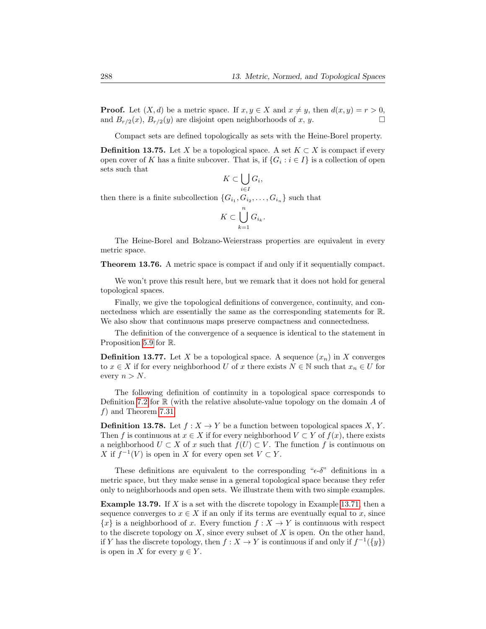**Proof.** Let  $(X, d)$  be a metric space. If  $x, y \in X$  and  $x \neq y$ , then  $d(x, y) = r > 0$ , and  $B_{r/2}(x)$ ,  $B_{r/2}(y)$  are disjoint open neighborhoods of x, y.

Compact sets are defined topologically as sets with the Heine-Borel property.

**Definition 13.75.** Let X be a topological space. A set  $K \subset X$  is compact if every open cover of K has a finite subcover. That is, if  $\{G_i : i \in I\}$  is a collection of open sets such that

$$
K\subset \bigcup_{i\in I}G_i
$$

,

then there is a finite subcollection  $\{G_{i_1}, G_{i_2}, \ldots, G_{i_n}\}$  such that

$$
K \subset \bigcup_{k=1}^n G_{i_k}.
$$

The Heine-Borel and Bolzano-Weierstrass properties are equivalent in every metric space.

Theorem 13.76. A metric space is compact if and only if it sequentially compact.

We won't prove this result here, but we remark that it does not hold for general topological spaces.

Finally, we give the topological definitions of convergence, continuity, and connectedness which are essentially the same as the corresponding statements for R. We also show that continuous maps preserve compactness and connectedness.

The definition of the convergence of a sequence is identical to the statement in Proposition [5.9](#page-0-0) for R.

**Definition 13.77.** Let X be a topological space. A sequence  $(x_n)$  in X converges to  $x \in X$  if for every neighborhood U of x there exists  $N \in \mathbb{N}$  such that  $x_n \in U$  for every  $n > N$ .

The following definition of continuity in a topological space corresponds to Definition [7.2](#page-0-0) for  $\mathbb R$  (with the relative absolute-value topology on the domain A of f) and Theorem [7.31.](#page-0-0)

**Definition 13.78.** Let  $f : X \to Y$  be a function between topological spaces X, Y. Then f is continuous at  $x \in X$  if for every neighborhood  $V \subset Y$  of  $f(x)$ , there exists a neighborhood  $U \subset X$  of x such that  $f(U) \subset V$ . The function f is continuous on X if  $f^{-1}(V)$  is open in X for every open set  $V \subset Y$ .

These definitions are equivalent to the corresponding " $\epsilon$ -δ" definitions in a metric space, but they make sense in a general topological space because they refer only to neighborhoods and open sets. We illustrate them with two simple examples.

**Example 13.79.** If X is a set with the discrete topology in Example [13.71,](#page-17-0) then a sequence converges to  $x \in X$  if an only if its terms are eventually equal to x, since  ${x}$  is a neighborhood of x. Every function  $f: X \to Y$  is continuous with respect to the discrete topology on  $X$ , since every subset of  $X$  is open. On the other hand, if Y has the discrete topology, then  $f: X \to Y$  is continuous if and only if  $f^{-1}(\{y\})$ is open in X for every  $y \in Y$ .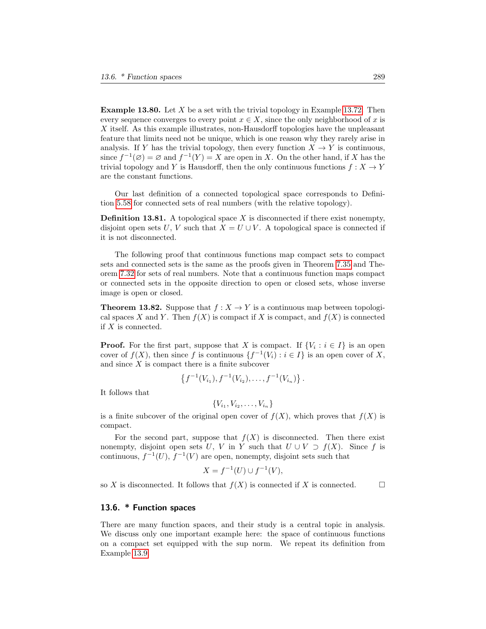**Example 13.80.** Let  $X$  be a set with the trivial topology in Example [13.72.](#page-17-1) Then every sequence converges to every point  $x \in X$ , since the only neighborhood of x is X itself. As this example illustrates, non-Hausdorff topologies have the unpleasant feature that limits need not be unique, which is one reason why they rarely arise in analysis. If Y has the trivial topology, then every function  $X \to Y$  is continuous, since  $f^{-1}(\emptyset) = \emptyset$  and  $f^{-1}(Y) = X$  are open in X. On the other hand, if X has the trivial topology and Y is Hausdorff, then the only continuous functions  $f : X \to Y$ are the constant functions.

Our last definition of a connected topological space corresponds to Definition [5.58](#page-0-0) for connected sets of real numbers (with the relative topology).

**Definition 13.81.** A topological space  $X$  is disconnected if there exist nonempty, disjoint open sets U, V such that  $X = U \cup V$ . A topological space is connected if it is not disconnected.

The following proof that continuous functions map compact sets to compact sets and connected sets is the same as the proofs given in Theorem [7.35](#page-0-0) and Theorem [7.32](#page-0-0) for sets of real numbers. Note that a continuous function maps compact or connected sets in the opposite direction to open or closed sets, whose inverse image is open or closed.

**Theorem 13.82.** Suppose that  $f: X \to Y$  is a continuous map between topological spaces X and Y. Then  $f(X)$  is compact if X is compact, and  $f(X)$  is connected if X is connected.

**Proof.** For the first part, suppose that X is compact. If  $\{V_i : i \in I\}$  is an open cover of  $f(X)$ , then since f is continuous  $\{f^{-1}(V_i) : i \in I\}$  is an open cover of X, and since  $X$  is compact there is a finite subcover

$$
\{f^{-1}(V_{i_1}), f^{-1}(V_{i_2}), \ldots, f^{-1}(V_{i_n})\}.
$$

It follows that

$$
\{V_{i_1}, V_{i_2}, \ldots, V_{i_n}\}
$$

is a finite subcover of the original open cover of  $f(X)$ , which proves that  $f(X)$  is compact.

For the second part, suppose that  $f(X)$  is disconnected. Then there exist nonempty, disjoint open sets U, V in Y such that  $U \cup V \supset f(X)$ . Since f is continuous,  $f^{-1}(U)$ ,  $f^{-1}(V)$  are open, nonempty, disjoint sets such that

$$
X = f^{-1}(U) \cup f^{-1}(V),
$$

so X is disconnected. It follows that  $f(X)$  is connected if X is connected.

## <span id="page-19-0"></span>13.6. \* Function spaces

There are many function spaces, and their study is a central topic in analysis. We discuss only one important example here: the space of continuous functions on a compact set equipped with the sup norm. We repeat its definition from Example [13.9.](#page-3-2)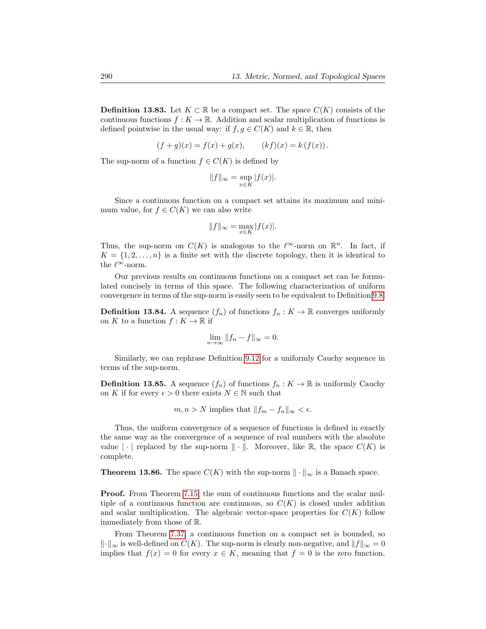**Definition 13.83.** Let  $K \subset \mathbb{R}$  be a compact set. The space  $C(K)$  consists of the continuous functions  $f : K \to \mathbb{R}$ . Addition and scalar multiplication of functions is defined pointwise in the usual way: if  $f, g \in C(K)$  and  $k \in \mathbb{R}$ , then

$$
(f+g)(x) = f(x) + g(x), \qquad (kf)(x) = k(f(x)).
$$

The sup-norm of a function  $f \in C(K)$  is defined by

$$
||f||_{\infty} = \sup_{x \in K} |f(x)|.
$$

Since a continuous function on a compact set attains its maximum and minimum value, for  $f \in C(K)$  we can also write

$$
||f||_{\infty} = \max_{x \in K} |f(x)|.
$$

Thus, the sup-norm on  $C(K)$  is analogous to the  $\ell^{\infty}$ -norm on  $\mathbb{R}^{n}$ . In fact, if  $K = \{1, 2, \ldots, n\}$  is a finite set with the discrete topology, then it is identical to the  $\ell^{\infty}$ -norm.

Our previous results on continuous functions on a compact set can be formulated concisely in terms of this space. The following characterization of uniform convergence in terms of the sup-norm is easily seen to be equivalent to Definition [9.8.](#page-0-0)

**Definition 13.84.** A sequence  $(f_n)$  of functions  $f_n : K \to \mathbb{R}$  converges uniformly on K to a function  $f: K \to \mathbb{R}$  if

$$
\lim_{n \to \infty} \|f_n - f\|_{\infty} = 0.
$$

Similarly, we can rephrase Definition [9.12](#page-0-0) for a uniformly Cauchy sequence in terms of the sup-norm.

**Definition 13.85.** A sequence  $(f_n)$  of functions  $f_n : K \to \mathbb{R}$  is uniformly Cauchy on K if for every  $\epsilon > 0$  there exists  $N \in \mathbb{N}$  such that

$$
m, n > N
$$
 implies that  $||f_m - f_n||_{\infty} < \epsilon$ .

Thus, the uniform convergence of a sequence of functions is defined in exactly the same way as the convergence of a sequence of real numbers with the absolute value  $|\cdot|$  replaced by the sup-norm  $\|\cdot\|$ . Moreover, like R, the space  $C(K)$  is complete.

<span id="page-20-0"></span>**Theorem 13.86.** The space  $C(K)$  with the sup-norm  $\|\cdot\|_{\infty}$  is a Banach space.

Proof. From Theorem [7.15,](#page-0-0) the sum of continuous functions and the scalar multiple of a continuous function are continuous, so  $C(K)$  is closed under addition and scalar multiplication. The algebraic vector-space properties for  $C(K)$  follow immediately from those of R.

From Theorem [7.37,](#page-0-0) a continuous function on a compact set is bounded, so  $\Vert \cdot \Vert_{\infty}$  is well-defined on  $C(K)$ . The sup-norm is clearly non-negative, and  $\Vert f \Vert_{\infty} = 0$ implies that  $f(x) = 0$  for every  $x \in K$ , meaning that  $f = 0$  is the zero function.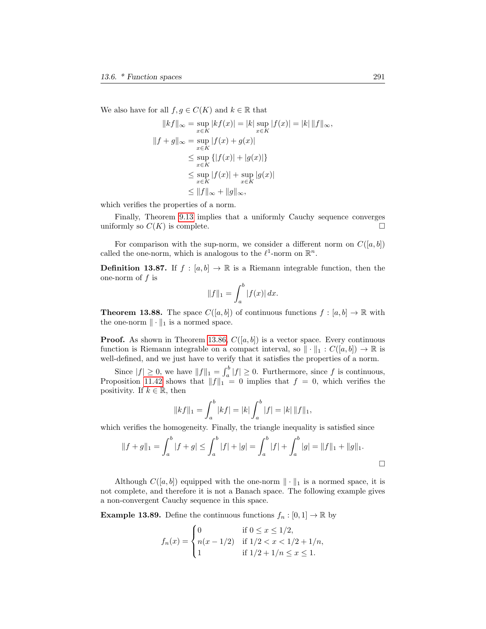We also have for all  $f, g \in C(K)$  and  $k \in \mathbb{R}$  that

$$
||kf||_{\infty} = \sup_{x \in K} |kf(x)| = |k| \sup_{x \in K} |f(x)| = |k| ||f||_{\infty},
$$
  

$$
||f + g||_{\infty} = \sup_{x \in K} |f(x) + g(x)|
$$
  

$$
\leq \sup_{x \in K} \{ |f(x)| + |g(x)| \}
$$
  

$$
\leq \sup_{x \in K} |f(x)| + \sup_{x \in K} |g(x)|
$$
  

$$
\leq ||f||_{\infty} + ||g||_{\infty},
$$

which verifies the properties of a norm.

Finally, Theorem [9.13](#page-0-0) implies that a uniformly Cauchy sequence converges uniformly so  $C(K)$  is complete.

For comparison with the sup-norm, we consider a different norm on  $C([a, b])$ called the one-norm, which is analogous to the  $\ell^1$ -norm on  $\mathbb{R}^n$ .

**Definition 13.87.** If  $f : [a, b] \to \mathbb{R}$  is a Riemann integrable function, then the one-norm of  $f$  is

$$
||f||_1 = \int_a^b |f(x)| \, dx.
$$

**Theorem 13.88.** The space  $C([a, b])$  of continuous functions  $f : [a, b] \to \mathbb{R}$  with the one-norm  $\|\cdot\|_1$  is a normed space.

**Proof.** As shown in Theorem [13.86,](#page-20-0)  $C([a, b])$  is a vector space. Every continuous function is Riemann integrable on a compact interval, so  $\|\cdot\|_1 : C([a, b]) \to \mathbb{R}$  is well-defined, and we just have to verify that it satisfies the properties of a norm.

Since  $|f| \geq 0$ , we have  $||f||_1 = \int_a^b |f| \geq 0$ . Furthermore, since f is continuous, Proposition [11.42](#page-0-0) shows that  $||f||_1 = 0$  implies that  $f = 0$ , which verifies the positivity. If  $k \in \mathbb{R}$ , then

$$
||kf||_1 = \int_a^b |kf| = |k| \int_a^b |f| = |k| ||f||_1,
$$

which verifies the homogeneity. Finally, the triangle inequality is satisfied since

$$
||f+g||_1 = \int_a^b |f+g| \le \int_a^b |f| + |g| = \int_a^b |f| + \int_a^b |g| = ||f||_1 + ||g||_1.
$$

Although  $C([a, b])$  equipped with the one-norm  $\|\cdot\|_1$  is a normed space, it is not complete, and therefore it is not a Banach space. The following example gives a non-convergent Cauchy sequence in this space.

**Example 13.89.** Define the continuous functions  $f_n : [0,1] \to \mathbb{R}$  by

$$
f_n(x) = \begin{cases} 0 & \text{if } 0 \le x \le 1/2, \\ n(x - 1/2) & \text{if } 1/2 < x < 1/2 + 1/n, \\ 1 & \text{if } 1/2 + 1/n \le x \le 1. \end{cases}
$$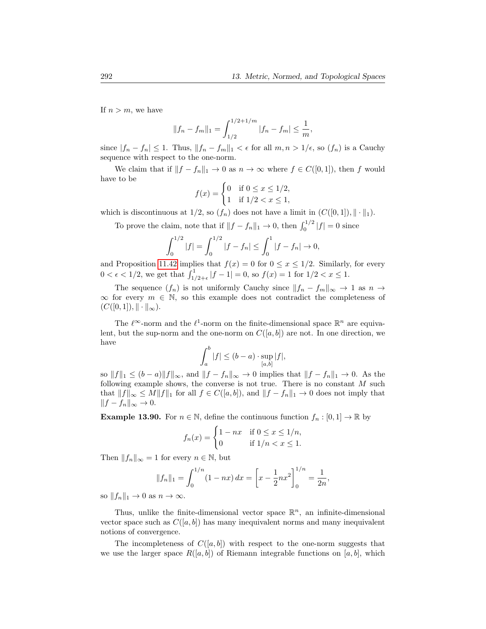If  $n > m$ , we have

$$
||f_n - f_m||_1 = \int_{1/2}^{1/2 + 1/m} |f_n - f_m| \le \frac{1}{m},
$$

since  $|f_n - f_n| \leq 1$ . Thus,  $||f_n - f_m||_1 < \epsilon$  for all  $m, n > 1/\epsilon$ , so  $(f_n)$  is a Cauchy sequence with respect to the one-norm.

We claim that if  $||f - f_n||_1 \to 0$  as  $n \to \infty$  where  $f \in C([0, 1])$ , then f would have to be

$$
f(x) = \begin{cases} 0 & \text{if } 0 \le x \le 1/2, \\ 1 & \text{if } 1/2 < x \le 1, \end{cases}
$$

which is discontinuous at  $1/2$ , so  $(f_n)$  does not have a limit in  $(C([0, 1]), \|\cdot\|_1)$ .

To prove the claim, note that if  $||f - f_n||_1 \to 0$ , then  $\int_0^{1/2} |f| = 0$  since

$$
\int_0^{1/2} |f| = \int_0^{1/2} |f - f_n| \le \int_0^1 |f - f_n| \to 0,
$$

and Proposition [11.42](#page-0-0) implies that  $f(x) = 0$  for  $0 \le x \le 1/2$ . Similarly, for every  $0 < \epsilon < 1/2$ , we get that  $\int_{1/2+\epsilon}^{1} |f-1| = 0$ , so  $f(x) = 1$  for  $1/2 < x \le 1$ .

The sequence  $(f_n)$  is not uniformly Cauchy since  $||f_n - f_m||_{\infty} \to 1$  as  $n \to \infty$  $\infty$  for every  $m \in \mathbb{N}$ , so this example does not contradict the completeness of  $(C([0, 1]), \|\cdot\|_{\infty}).$ 

The  $\ell^{\infty}$ -norm and the  $\ell^{1}$ -norm on the finite-dimensional space  $\mathbb{R}^{n}$  are equivalent, but the sup-norm and the one-norm on  $C([a, b])$  are not. In one direction, we have

$$
\int_a^b |f| \le (b-a) \cdot \sup_{[a,b]} |f|,
$$

so  $||f||_1 \le (b - a)||f||_{\infty}$ , and  $||f - f_n||_{\infty} \to 0$  implies that  $||f - f_n||_1 \to 0$ . As the following example shows, the converse is not true. There is no constant  $M$  such that  $||f||_{\infty} \leq M||f||_1$  for all  $f \in C([a, b])$ , and  $||f - f_n||_1 \to 0$  does not imply that  $||f - f_n||_{\infty} \to 0.$ 

**Example 13.90.** For  $n \in \mathbb{N}$ , define the continuous function  $f_n : [0,1] \to \mathbb{R}$  by

$$
f_n(x) = \begin{cases} 1 - nx & \text{if } 0 \le x \le 1/n, \\ 0 & \text{if } 1/n < x \le 1. \end{cases}
$$

Then  $||f_n||_{\infty} = 1$  for every  $n \in \mathbb{N}$ , but

$$
||f_n||_1 = \int_0^{1/n} (1 - nx) dx = \left[x - \frac{1}{2}nx^2\right]_0^{1/n} = \frac{1}{2n},
$$

so  $||f_n||_1 \to 0$  as  $n \to \infty$ .

Thus, unlike the finite-dimensional vector space  $\mathbb{R}^n$ , an infinite-dimensional vector space such as  $C([a, b])$  has many inequivalent norms and many inequivalent notions of convergence.

The incompleteness of  $C([a, b])$  with respect to the one-norm suggests that we use the larger space  $R([a, b])$  of Riemann integrable functions on [a, b], which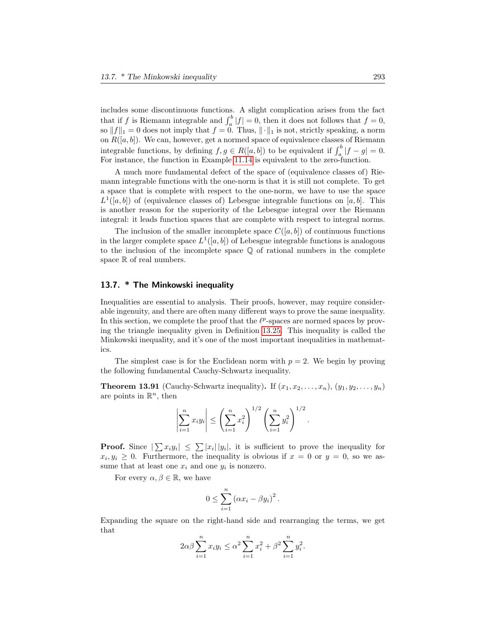includes some discontinuous functions. A slight complication arises from the fact that if f is Riemann integrable and  $\int_a^b |f| = 0$ , then it does not follows that  $f = 0$ , so  $||f||_1 = 0$  does not imply that  $f = 0$ . Thus,  $|| \cdot ||_1$  is not, strictly speaking, a norm on  $R([a, b])$ . We can, however, get a normed space of equivalence classes of Riemann integrable functions, by defining  $f, g \in R([a, b])$  to be equivalent if  $\int_a^b |f - g| = 0$ . For instance, the function in Example [11.14](#page-0-0) is equivalent to the zero-function.

A much more fundamental defect of the space of (equivalence classes of) Riemann integrable functions with the one-norm is that it is still not complete. To get a space that is complete with respect to the one-norm, we have to use the space  $L^1([a, b])$  of (equivalence classes of) Lebesgue integrable functions on [a, b]. This is another reason for the superiority of the Lebesgue integral over the Riemann integral: it leads function spaces that are complete with respect to integral norms.

The inclusion of the smaller incomplete space  $C([a, b])$  of continuous functions in the larger complete space  $L^1([a, b])$  of Lebesgue integrable functions is analogous to the inclusion of the incomplete space  $\mathbb Q$  of rational numbers in the complete space  $\mathbb R$  of real numbers.

## <span id="page-23-0"></span>13.7. \* The Minkowski inequality

Inequalities are essential to analysis. Their proofs, however, may require considerable ingenuity, and there are often many different ways to prove the same inequality. In this section, we complete the proof that the  $\ell^p$ -spaces are normed spaces by proving the triangle inequality given in Definition [13.25.](#page-7-2) This inequality is called the Minkowski inequality, and it's one of the most important inequalities in mathematics.

The simplest case is for the Euclidean norm with  $p = 2$ . We begin by proving the following fundamental Cauchy-Schwartz inequality.

**Theorem 13.91** (Cauchy-Schwartz inequality). If  $(x_1, x_2, \ldots, x_n)$ ,  $(y_1, y_2, \ldots, y_n)$ are points in  $\mathbb{R}^n$ , then

$$
\left|\sum_{i=1}^n x_i y_i\right| \le \left(\sum_{i=1}^n x_i^2\right)^{1/2} \left(\sum_{i=1}^n y_i^2\right)^{1/2}.
$$

**Proof.** Since  $|\sum x_i y_i| \leq \sum |x_i| |y_i|$ , it is sufficient to prove the inequality for  $x_i, y_i \geq 0$ . Furthermore, the inequality is obvious if  $x = 0$  or  $y = 0$ , so we assume that at least one  $x_i$  and one  $y_i$  is nonzero.

For every  $\alpha, \beta \in \mathbb{R}$ , we have

$$
0 \leq \sum_{i=1}^{n} (\alpha x_i - \beta y_i)^2.
$$

Expanding the square on the right-hand side and rearranging the terms, we get that

$$
2\alpha\beta \sum_{i=1}^{n} x_i y_i \le \alpha^2 \sum_{i=1}^{n} x_i^2 + \beta^2 \sum_{i=1}^{n} y_i^2.
$$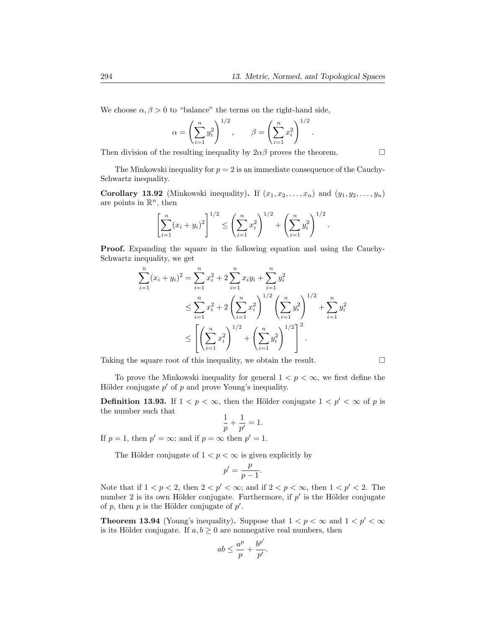We choose  $\alpha, \beta > 0$  to "balance" the terms on the right-hand side,

$$
\alpha = \left(\sum_{i=1}^n y_i^2\right)^{1/2}, \qquad \beta = \left(\sum_{i=1}^n x_i^2\right)^{1/2}.
$$

Then division of the resulting inequality by  $2\alpha\beta$  proves the theorem.

The Minkowski inequality for  $p = 2$  is an immediate consequence of the Cauchy-Schwartz inequality.

Corollary 13.92 (Minkowski inequality). If  $(x_1, x_2, \ldots, x_n)$  and  $(y_1, y_2, \ldots, y_n)$ are points in  $\mathbb{R}^n$ , then

$$
\left[\sum_{i=1}^n (x_i + y_i)^2\right]^{1/2} \le \left(\sum_{i=1}^n x_i^2\right)^{1/2} + \left(\sum_{i=1}^n y_i^2\right)^{1/2}.
$$

Proof. Expanding the square in the following equation and using the Cauchy-Schwartz inequality, we get

$$
\sum_{i=1}^{n} (x_i + y_i)^2 = \sum_{i=1}^{n} x_i^2 + 2 \sum_{i=1}^{n} x_i y_i + \sum_{i=1}^{n} y_i^2
$$
  
\n
$$
\leq \sum_{i=1}^{n} x_i^2 + 2 \left( \sum_{i=1}^{n} x_i^2 \right)^{1/2} \left( \sum_{i=1}^{n} y_i^2 \right)^{1/2} + \sum_{i=1}^{n} y_i^2
$$
  
\n
$$
\leq \left[ \left( \sum_{i=1}^{n} x_i^2 \right)^{1/2} + \left( \sum_{i=1}^{n} y_i^2 \right)^{1/2} \right]^2.
$$

Taking the square root of this inequality, we obtain the result.  $\Box$ 

To prove the Minkowski inequality for general  $1 < p < \infty$ , we first define the Hölder conjugate  $p'$  of p and prove Young's inequality.

**Definition 13.93.** If  $1 < p < \infty$ , then the Hölder conjugate  $1 < p' < \infty$  of p is the number such that

$$
\frac{1}{p} + \frac{1}{p'} = 1.
$$

If  $p = 1$ , then  $p' = \infty$ ; and if  $p = \infty$  then  $p' = 1$ .

The Hölder conjugate of  $1 < p < \infty$  is given explicitly by

$$
p' = \frac{p}{p-1}.
$$

Note that if  $1 < p < 2$ , then  $2 < p' < \infty$ ; and if  $2 < p < \infty$ , then  $1 < p' < 2$ . The number 2 is its own Hölder conjugate. Furthermore, if  $p'$  is the Hölder conjugate of p, then p is the Hölder conjugate of  $p'$ .

<span id="page-24-0"></span>**Theorem 13.94** (Young's inequality). Suppose that  $1 < p < \infty$  and  $1 < p' < \infty$ is its Hölder conjugate. If  $a, b \geq 0$  are nonnegative real numbers, then

$$
ab \le \frac{a^p}{p} + \frac{b^{p'}}{p'}.
$$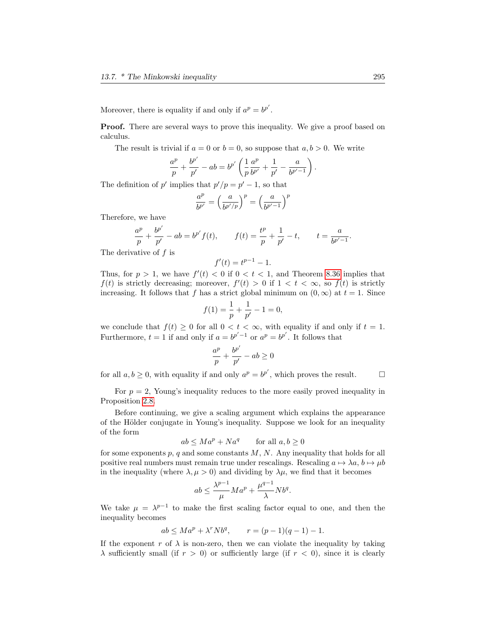Moreover, there is equality if and only if  $a^p = b^{p'}$ .

Proof. There are several ways to prove this inequality. We give a proof based on calculus.

The result is trivial if  $a = 0$  or  $b = 0$ , so suppose that  $a, b > 0$ . We write

$$
\frac{a^p}{p} + \frac{b^{p'}}{p'} - ab = b^{p'} \left( \frac{1}{p} \frac{a^p}{b^{p'}} + \frac{1}{p'} - \frac{a}{b^{p'-1}} \right).
$$

The definition of p' implies that  $p'/p = p' - 1$ , so that

$$
\frac{a^p}{b^{p'}} = \left(\frac{a}{b^{p'/p}}\right)^p = \left(\frac{a}{b^{p'-1}}\right)^p
$$

Therefore, we have

$$
\frac{a^p}{p} + \frac{b^{p'}}{p'} - ab = b^{p'}f(t), \qquad f(t) = \frac{t^p}{p} + \frac{1}{p'} - t, \qquad t = \frac{a}{b^{p'-1}}.
$$

The derivative of  $f$  is

$$
f'(t) = t^{p-1} - 1.
$$

Thus, for  $p > 1$ , we have  $f'(t) < 0$  if  $0 < t < 1$ , and Theorem [8.36](#page-0-0) implies that  $f(t)$  is strictly decreasing; moreover,  $f'(t) > 0$  if  $1 < t < \infty$ , so  $f(t)$  is strictly increasing. It follows that f has a strict global minimum on  $(0, \infty)$  at  $t = 1$ . Since

$$
f(1) = \frac{1}{p} + \frac{1}{p'} - 1 = 0,
$$

we conclude that  $f(t) \geq 0$  for all  $0 < t < \infty$ , with equality if and only if  $t = 1$ . Furthermore,  $t = 1$  if and only if  $a = b^{p'-1}$  or  $a^p = b^{p'}$ . It follows that

$$
\frac{a^p}{p} + \frac{b^{p'}}{p'} - ab \ge 0
$$

for all  $a, b \ge 0$ , with equality if and only  $a^p = b^{p'}$ , which proves the result.  $\Box$ 

For  $p = 2$ , Young's inequality reduces to the more easily proved inequality in Proposition [2.8.](#page-0-0)

Before continuing, we give a scaling argument which explains the appearance of the Hölder conjugate in Young's inequality. Suppose we look for an inequality of the form

$$
ab \le Ma^p + Na^q \qquad \text{for all } a, b \ge 0
$$

for some exponents  $p, q$  and some constants  $M, N$ . Any inequality that holds for all positive real numbers must remain true under rescalings. Rescaling  $a \mapsto \lambda a, b \mapsto \mu b$ in the inequality (where  $\lambda, \mu > 0$ ) and dividing by  $\lambda \mu$ , we find that it becomes

$$
ab\leq \frac{\lambda^{p-1}}{\mu}Ma^p+\frac{\mu^{q-1}}{\lambda}Nb^q.
$$

We take  $\mu = \lambda^{p-1}$  to make the first scaling factor equal to one, and then the inequality becomes

$$
ab \le Ma^p + \lambda^r N b^q
$$
,  $r = (p-1)(q-1) - 1$ .

If the exponent r of  $\lambda$  is non-zero, then we can violate the inequality by taking  $\lambda$  sufficiently small (if  $r > 0$ ) or sufficiently large (if  $r < 0$ ), since it is clearly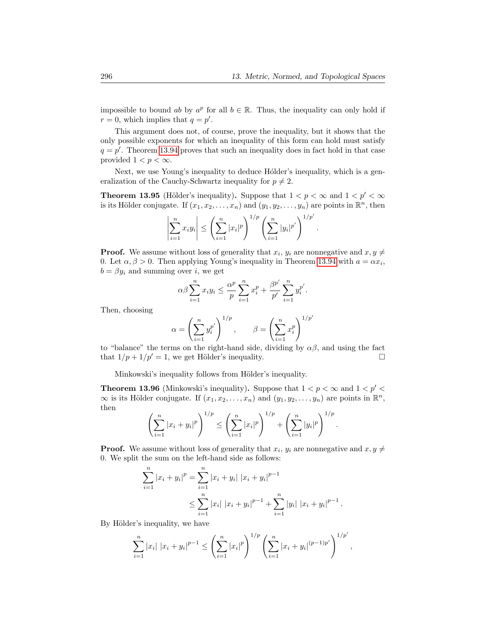impossible to bound ab by  $a^p$  for all  $b \in \mathbb{R}$ . Thus, the inequality can only hold if  $r = 0$ , which implies that  $q = p'$ .

This argument does not, of course, prove the inequality, but it shows that the only possible exponents for which an inequality of this form can hold must satisfy  $q = p'$ . Theorem [13.94](#page-24-0) proves that such an inequality does in fact hold in that case provided  $1 < p < \infty$ .

Next, we use Young's inequality to deduce Holder's inequality, which is a generalization of the Cauchy-Schwartz inequality for  $p \neq 2$ .

**Theorem 13.95** (Hölder's inequality). Suppose that  $1 < p < \infty$  and  $1 < p' < \infty$ is its Hölder conjugate. If  $(x_1, x_2, \ldots, x_n)$  and  $(y_1, y_2, \ldots, y_n)$  are points in  $\mathbb{R}^n$ , then

$$
\left|\sum_{i=1}^n x_i y_i\right| \leq \left(\sum_{i=1}^n |x_i|^p\right)^{1/p} \left(\sum_{i=1}^n |y_i|^{p'}\right)^{1/p'}.
$$

**Proof.** We assume without loss of generality that  $x_i$ ,  $y_i$  are nonnegative and  $x, y \neq 0$ 0. Let  $\alpha, \beta > 0$ . Then applying Young's inequality in Theorem [13.94](#page-24-0) with  $a = \alpha x_i$ ,  $b = \beta y_i$  and summing over i, we get

$$
\alpha \beta \sum_{i=1}^{n} x_i y_i \leq \frac{\alpha^p}{p} \sum_{i=1}^{n} x_i^p + \frac{\beta^{p'}}{p'} \sum_{i=1}^{n} y_i^{p'}.
$$

Then, choosing

$$
\alpha = \left(\sum_{i=1}^n y_i^{p'}\right)^{1/p}, \qquad \beta = \left(\sum_{i=1}^n x_i^p\right)^{1/p'}
$$

to "balance" the terms on the right-hand side, dividing by  $\alpha\beta$ , and using the fact that  $1/p + 1/p' = 1$ , we get Hölder's inequality.

Minkowski's inequality follows from Hölder's inequality.

**Theorem 13.96** (Minkowski's inequality). Suppose that  $1 < p < \infty$  and  $1 < p' < \infty$  $\infty$  is its Hölder conjugate. If  $(x_1, x_2, \ldots, x_n)$  and  $(y_1, y_2, \ldots, y_n)$  are points in  $\mathbb{R}^n$ , then

$$
\left(\sum_{i=1}^n |x_i + y_i|^p\right)^{1/p} \le \left(\sum_{i=1}^n |x_i|^p\right)^{1/p} + \left(\sum_{i=1}^n |y_i|^p\right)^{1/p}
$$

.

**Proof.** We assume without loss of generality that  $x_i$ ,  $y_i$  are nonnegative and  $x, y \neq 0$ 0. We split the sum on the left-hand side as follows:

$$
\sum_{i=1}^{n} |x_i + y_i|^p = \sum_{i=1}^{n} |x_i + y_i| |x_i + y_i|^{p-1}
$$
  

$$
\leq \sum_{i=1}^{n} |x_i| |x_i + y_i|^{p-1} + \sum_{i=1}^{n} |y_i| |x_i + y_i|^{p-1}.
$$

By Hölder's inequality, we have

$$
\sum_{i=1}^n |x_i| |x_i + y_i|^{p-1} \le \left(\sum_{i=1}^n |x_i|^p\right)^{1/p} \left(\sum_{i=1}^n |x_i + y_i|^{(p-1)p'}\right)^{1/p'},
$$